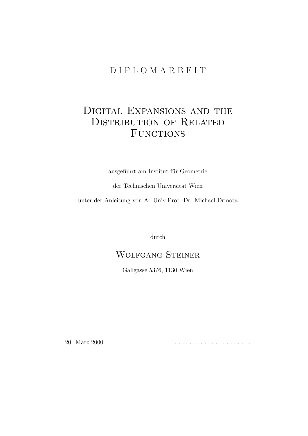### D I P L O M A R B E I T

### Digital Expansions and the DISTRIBUTION OF RELATED FUNCTIONS

ausgeführt am Institut für Geometrie

der Technischen Universität Wien

unter der Anleitung von Ao.Univ.Prof. Dr. Michael Drmota

durch

### Wolfgang Steiner

Gallgasse 53/6, 1130 Wien

20. M¨arz 2000 . . . . . . . . . . . . . . . . . . . . .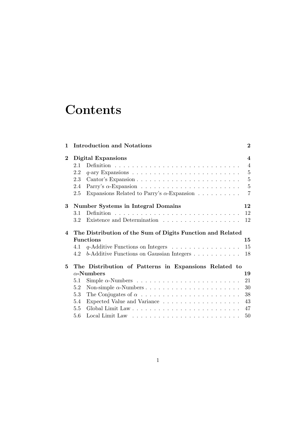## **Contents**

| 1              |         | <b>Introduction and Notations</b>                                        | $\bf{2}$                |
|----------------|---------|--------------------------------------------------------------------------|-------------------------|
| $\bf{2}$       |         | <b>Digital Expansions</b>                                                | $\overline{\mathbf{4}}$ |
|                | 2.1     |                                                                          | $\overline{4}$          |
|                | 2.2     |                                                                          | $\overline{5}$          |
|                | 2.3     |                                                                          | $-5$                    |
|                | 2.4     |                                                                          | $\overline{5}$          |
|                | 2.5     | Expansions Related to Parry's $\alpha$ -Expansion                        | $\overline{7}$          |
| 3              |         | <b>Number Systems in Integral Domains</b>                                | 12                      |
|                | $3.1\,$ |                                                                          | 12                      |
|                | 3.2     |                                                                          | 12                      |
| $\overline{4}$ |         | The Distribution of the Sum of Digits Function and Related               |                         |
|                |         | <b>Functions</b>                                                         | 15                      |
|                | 4.1     | $q$ -Additive Functions on Integers $\ldots \ldots \ldots \ldots \ldots$ | 15                      |
|                | 4.2     | b-Additive Functions on Gaussian Integers                                | 18                      |
| 5              |         | The Distribution of Patterns in Expansions Related to                    |                         |
|                |         | $\alpha$ -Numbers                                                        | 19                      |
|                | 5.1     |                                                                          | 21                      |
|                | 5.2     |                                                                          | 30                      |
|                | 5.3     |                                                                          | 38                      |
|                | 5.4     |                                                                          | 43                      |
|                | 5.5     |                                                                          | 47                      |
|                | 5.6     |                                                                          | 50                      |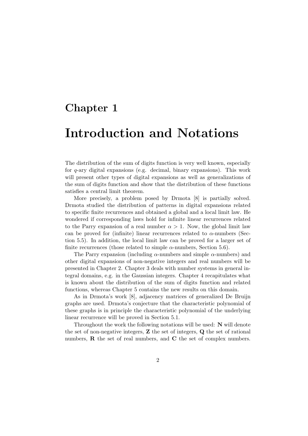### Chapter 1

## Introduction and Notations

The distribution of the sum of digits function is very well known, especially for  $q$ -ary digital expansions (e.g. decimal, binary expansions). This work will present other types of digital expansions as well as generalizations of the sum of digits function and show that the distribution of these functions satisfies a central limit theorem.

More precisely, a problem posed by Drmota [8] is partially solved. Drmota studied the distribution of patterns in digital expansions related to specific finite recurrences and obtained a global and a local limit law. He wondered if corresponding laws hold for infinite linear recurrences related to the Parry expansion of a real number  $\alpha > 1$ . Now, the global limit law can be proved for (infinite) linear recurrences related to  $\alpha$ -numbers (Section 5.5). In addition, the local limit law can be proved for a larger set of finite recurrences (those related to simple  $\alpha$ -numbers, Section 5.6).

The Parry expansion (including  $\alpha$ -numbers and simple  $\alpha$ -numbers) and other digital expansions of non-negative integers and real numbers will be presented in Chapter 2. Chapter 3 deals with number systems in general integral domains, e.g. in the Gaussian integers. Chapter 4 recapitulates what is known about the distribution of the sum of digits function and related functions, whereas Chapter 5 contains the new results on this domain.

As in Drmota's work [8], adjacency matrices of generalized De Bruijn graphs are used. Drmota's conjecture that the characteristic polynomial of these graphs is in principle the characteristic polynomial of the underlying linear recurrence will be proved in Section 5.1.

Throughout the work the following notations will be used: N will denote the set of non-negative integers, Z the set of integers, Q the set of rational numbers,  $\bf{R}$  the set of real numbers, and  $\bf{C}$  the set of complex numbers.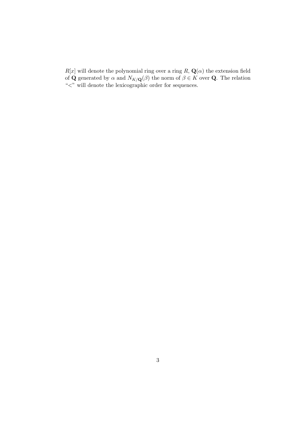$R[x]$  will denote the polynomial ring over a ring  $R$ ,  $\mathbf{Q}(\alpha)$  the extension field of **Q** generated by  $\alpha$  and  $N_{K/\mathbf{Q}}(\beta)$  the norm of  $\beta \in K$  over **Q**. The relation "<" will denote the lexicographic order for sequences.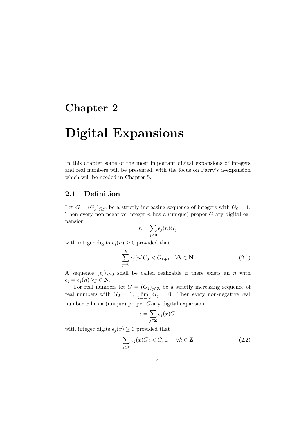### Chapter 2

## Digital Expansions

In this chapter some of the most important digital expansions of integers and real numbers will be presented, with the focus on Parry's  $\alpha$ -expansion which will be needed in Chapter 5.

#### 2.1 Definition

Let  $G = (G_j)_{j \geq 0}$  be a strictly increasing sequence of integers with  $G_0 = 1$ . Then every non-negative integer  $n$  has a (unique) proper  $G$ -ary digital expansion

$$
n = \sum_{j \ge 0} \epsilon_j(n) G_j
$$

with integer digits  $\epsilon_i(n) \geq 0$  provided that

$$
\sum_{j=0}^{k} \epsilon_j(n) G_j < G_{k+1} \quad \forall k \in \mathbf{N} \tag{2.1}
$$

A sequence  $(\epsilon_j)_{j\geq0}$  shall be called realizable if there exists an n with  $\epsilon_j = \epsilon_j (n) \; \forall j \in \mathbf{N}.$ 

For real numbers let  $G = (G_j)_{j \in \mathbf{Z}}$  be a strictly increasing sequence of real numbers with  $G_0 = 1$ ,  $\lim_{j \to -\infty} G_j = 0$ . Then every non-negative real number  $x$  has a (unique) proper  $G$ -ary digital expansion

$$
x = \sum_{j \in \mathbf{Z}} \epsilon_j(x) G_j
$$

with integer digits  $\epsilon_j (x) \geq 0$  provided that

$$
\sum_{j\leq k} \epsilon_j(x) G_j < G_{k+1} \quad \forall k \in \mathbf{Z} \tag{2.2}
$$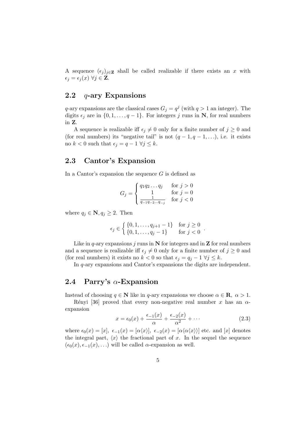A sequence  $(\epsilon_i)_{i\in\mathbf{Z}}$  shall be called realizable if there exists an x with  $\epsilon_j = \epsilon_j (x) \ \forall j \in \mathbf{Z}.$ 

### 2.2  $q$ -ary Expansions

q-ary expansions are the classical cases  $G_j = q^j$  (with  $q > 1$  an integer). The digits  $\epsilon_j$  are in  $\{0, 1, \ldots, q - 1\}$ . For integers j runs in N, for real numbers in Z.

A sequence is realizable iff  $\epsilon_j \neq 0$  only for a finite number of  $j \geq 0$  and (for real numbers) its "negative tail" is not  $(q-1, q-1, \ldots)$ , i.e. it exists no  $k < 0$  such that  $\epsilon_j = q - 1 \ \forall j \leq k$ .

#### 2.3 Cantor's Expansion

In a Cantor's expansion the sequence  $G$  is defined as

$$
G_j = \begin{cases} q_1 q_2 \dots q_j & \text{for } j > 0\\ 1 & \text{for } j = 0\\ \frac{1}{q_{-1} q_{-2} \dots q_{-j}} & \text{for } j < 0 \end{cases}
$$

where  $q_j \in \mathbf{N}, q_j \geq 2$ . Then

$$
\epsilon_j \in \left\{ \begin{array}{l} \{0, 1, \dots, q_{j+1} - 1\} & \text{for } j \ge 0 \\ \{0, 1, \dots, q_j - 1\} & \text{for } j < 0 \end{array} \right..
$$

Like in q-ary expansions j runs in  $N$  for integers and in  $Z$  for real numbers and a sequence is realizable iff  $\epsilon_j \neq 0$  only for a finite number of  $j \geq 0$  and (for real numbers) it exists no  $k < 0$  so that  $\epsilon_i = q_i - 1 \ \forall j \leq k$ .

In q-ary expansions and Cantor's expansions the digits are independent.

#### 2.4 Parry's  $\alpha$ -Expansion

Instead of choosing  $q \in \mathbb{N}$  like in q-ary expansions we choose  $\alpha \in \mathbb{R}, \ \alpha > 1$ .

Rényi [36] proved that every non-negative real number x has an  $\alpha$ expansion

$$
x = \epsilon_0(x) + \frac{\epsilon_{-1}(x)}{\alpha} + \frac{\epsilon_{-2}(x)}{\alpha^2} + \cdots
$$
 (2.3)

where  $\epsilon_0(x) = [x], \epsilon_{-1}(x) = [\alpha \langle x \rangle], \epsilon_{-2}(x) = [\alpha \langle \alpha \langle x \rangle]$  etc. and [x] denotes the integral part,  $\langle x \rangle$  the fractional part of x. In the sequel the sequence  $(\epsilon_0(x), \epsilon_{-1}(x), \ldots)$  will be called  $\alpha$ -expansion as well.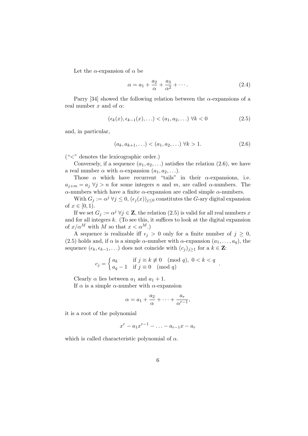Let the  $\alpha$ -expansion of  $\alpha$  be

$$
\alpha = a_1 + \frac{a_2}{\alpha} + \frac{a_3}{\alpha^2} + \cdots. \tag{2.4}
$$

Parry [34] showed the following relation between the  $\alpha$ -expansions of a real number x and of  $\alpha$ :

$$
(\epsilon_k(x), \epsilon_{k-1}(x), \ldots) < (a_1, a_2, \ldots) \,\,\forall k < 0 \tag{2.5}
$$

and, in particular,

$$
(a_k, a_{k+1}, \ldots) < (a_1, a_2, \ldots) \,\,\forall k > 1. \tag{2.6}
$$

 $(*<"$  denotes the lexicographic order.)

Conversely, if a sequence  $(a_1, a_2, \ldots)$  satisfies the relation  $(2.6)$ , we have a real number  $\alpha$  with  $\alpha$ -expansion  $(a_1, a_2, \ldots)$ .

Those  $\alpha$  which have recurrent "tails" in their  $\alpha$ -expansions, i.e.  $a_{j+m} = a_j \forall j > n$  for some integers n and m, are called  $\alpha$ -numbers. The α-numbers which have a finite α-expansion are called simple  $α$ -numbers.

With  $G_j := \alpha^j \,\forall j \leq 0$ ,  $(\epsilon_j(x))_{j \leq 0}$  constitutes the G-ary digital expansion of  $x \in [0, 1)$ .

If we set  $G_j := \alpha^j \ \forall j \in \mathbb{Z}$ , the relation  $(2.5)$  is valid for all real numbers x and for all integers  $k$ . (To see this, it suffices to look at the digital expansion of  $x/\alpha^M$  with M so that  $x < \alpha^M$ .)

A sequence is realizable iff  $\epsilon_j > 0$  only for a finite number of  $j \geq 0$ , (2.5) holds and, if  $\alpha$  is a simple  $\alpha$ -number with  $\alpha$ -expansion  $(a_1, \ldots, a_q)$ , the sequence  $(\epsilon_k, \epsilon_{k-1}, \ldots)$  does not coincide with  $(c_j)_{j\geq 1}$  for a  $k \in \mathbf{Z}$ :

$$
c_j = \begin{cases} a_k & \text{if } j \equiv k \not\equiv 0 \pmod{q}, \ 0 < k < q \\ a_q - 1 & \text{if } j \equiv 0 \pmod{q} \end{cases}.
$$

Clearly  $\alpha$  lies between  $a_1$  and  $a_1 + 1$ .

If  $\alpha$  is a simple  $\alpha$ -number with  $\alpha$ -expansion

$$
\alpha = a_1 + \frac{a_2}{\alpha} + \dots + \frac{a_r}{\alpha^{r-1}},
$$

it is a root of the polynomial

$$
x^r - a_1x^{r-1} - \ldots - a_{r-1}x - a_r
$$

which is called characteristic polynomial of  $\alpha$ .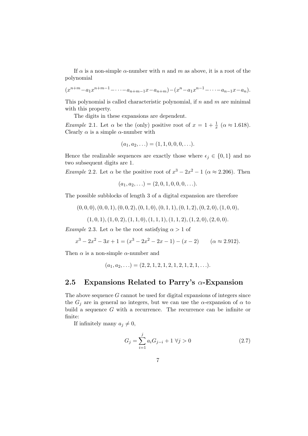If  $\alpha$  is a non-simple  $\alpha$ -number with n and m as above, it is a root of the polynomial

$$
(x^{n+m}-a_1x^{n+m-1}-\cdots-a_{n+m-1}x-a_{n+m})-(x^n-a_1x^{n-1}-\cdots-a_{n-1}x-a_n).
$$

This polynomial is called characteristic polynomial, if  $n$  and  $m$  are minimal with this property.

The digits in these expansions are dependent.

*Example 2.1.* Let  $\alpha$  be the (only) positive root of  $x = 1 + \frac{1}{x}$  ( $\alpha \approx 1.618$ ). Clearly  $\alpha$  is a simple  $\alpha$ -number with

$$
(a_1, a_2, \ldots) = (1, 1, 0, 0, 0, \ldots).
$$

Hence the realizable sequences are exactly those where  $\epsilon_i \in \{0, 1\}$  and no two subsequent digits are 1.

*Example 2.2.* Let  $\alpha$  be the positive root of  $x^3 - 2x^2 - 1$  ( $\alpha \approx 2.206$ ). Then

$$
(a_1, a_2, \ldots) = (2, 0, 1, 0, 0, 0, \ldots).
$$

The possible subblocks of length 3 of a digital expansion are therefore

 $(0, 0, 0), (0, 0, 1), (0, 0, 2), (0, 1, 0), (0, 1, 1), (0, 1, 2), (0, 2, 0), (1, 0, 0),$ 

$$
(1,0,1), (1,0,2), (1,1,0), (1,1,1), (1,1,2), (1,2,0), (2,0,0).
$$

Example 2.3. Let  $\alpha$  be the root satisfying  $\alpha > 1$  of

$$
x^3 - 2x^2 - 3x + 1 = (x^3 - 2x^2 - 2x - 1) - (x - 2) \qquad (\alpha \approx 2.912).
$$

Then  $\alpha$  is a non-simple  $\alpha$ -number and

$$
(a_1, a_2, \ldots) = (2, 2, 1, 2, 1, 2, 1, 2, 1, 2, 1, \ldots).
$$

#### 2.5 Expansions Related to Parry's  $\alpha$ -Expansion

The above sequence G cannot be used for digital expansions of integers since the  $G_i$  are in general no integers, but we can use the  $\alpha$ -expansion of  $\alpha$  to build a sequence  $G$  with a recurrence. The recurrence can be infinite or finite:

If infinitely many  $a_j \neq 0$ ,

$$
G_j = \sum_{i=1}^{j} a_i G_{j-i} + 1 \ \forall j > 0
$$
\n(2.7)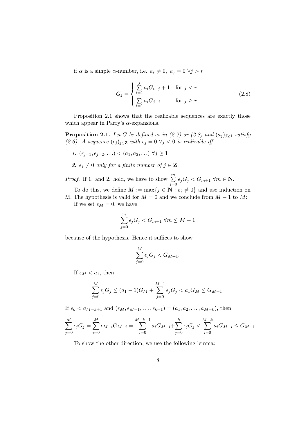if  $\alpha$  is a simple  $\alpha$ -number, i.e.  $a_r \neq 0$ ,  $a_j = 0 \ \forall j > r$ 

$$
G_{j} = \begin{cases} \sum_{i=1}^{j} a_{i} G_{i-j} + 1 & \text{for } j < r\\ \sum_{i=1}^{r} a_{i} G_{j-i} & \text{for } j \ge r \end{cases}
$$
 (2.8)

Proposition 2.1 shows that the realizable sequences are exactly those which appear in Parry's  $\alpha$ -expansions.

**Proposition 2.1.** Let G be defined as in (2.7) or (2.8) and  $(a_j)_{j\geq 1}$  satisfy (2.6). A sequence  $(\epsilon_j)_{j\in\mathbf{Z}}$  with  $\epsilon_j = 0 \ \forall j < 0$  is realizable iff

- 1.  $(\epsilon_{j-1}, \epsilon_{j-2}, ...) < (a_1, a_2, ...) \ \forall j \geq 1$
- 2.  $\epsilon_j \neq 0$  only for a finite number of  $j \in \mathbf{Z}$ .

*Proof.* If 1. and 2. hold, we have to show  $\sum_{n=1}^{m}$  $\sum_{j=0}^{m} \epsilon_j G_j < G_{m+1}$   $\forall m \in \mathbf{N}$ .

To do this, we define  $M := \max\{j \in \mathbf{N} : \epsilon_j \neq 0\}$  and use induction on M. The hypothesis is valid for  $M = 0$  and we conclude from  $M - 1$  to M:

If we set  $\epsilon_M = 0$ , we have

$$
\sum_{j=0}^{m} \epsilon_j G_j < G_{m+1} \ \forall m \le M-1
$$

because of the hypothesis. Hence it suffices to show

$$
\sum_{j=0}^{M} \epsilon_j G_j < G_{M+1}.
$$

If  $\epsilon_M < a_1$ , then

$$
\sum_{j=0}^{M} \epsilon_j G_j \le (a_1 - 1)G_M + \sum_{j=0}^{M-1} \epsilon_j G_j < a_1 G_M \le G_{M+1}.
$$

If  $\epsilon_k < a_{M-k+1}$  and  $(\epsilon_M, \epsilon_{M-1}, \ldots, \epsilon_{k+1}) = (a_1, a_2, \ldots, a_{M-k}),$  then

$$
\sum_{j=0}^{M} \epsilon_j G_j = \sum_{i=0}^{M} \epsilon_{M-i} G_{M-i} = \sum_{i=0}^{M-k-1} a_i G_{M-i} + \sum_{j=0}^{k} \epsilon_j G_j < \sum_{i=0}^{M-k} a_i G_{M-i} \le G_{M+1}.
$$

To show the other direction, we use the following lemma: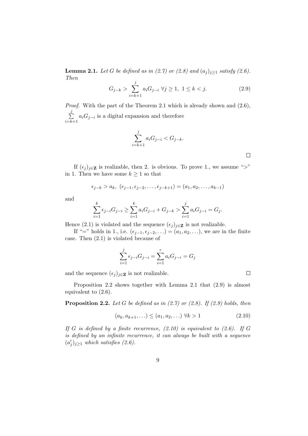**Lemma 2.1.** Let G be defined as in (2.7) or (2.8) and  $(a_j)_{j\geq 1}$  satisfy (2.6). Then

$$
G_{j-k} > \sum_{i=k+1}^{j} a_i G_{j-i} \ \forall j \ge 1, \ 1 \le k < j. \tag{2.9}
$$

 $\Box$ 

 $\Box$ 

Proof. With the part of the Theorem 2.1 which is already shown and (2.6),  $\sum$ j  $\sum_{i=k+1} a_i G_{j-i}$  is a digital expansion and therefore

$$
\sum_{i=k+1}^{j} a_i G_{j-i} < G_{j-k}.
$$

If  $(\epsilon_j)_{j\in\mathbf{Z}}$  is realizable, then 2. is obvious. To prove 1., we assume ">" in 1. Then we have some  $k \geq 1$  so that

$$
\epsilon_{j-k} > a_k, \ (\epsilon_{j-1}, \epsilon_{j-2}, \ldots, \epsilon_{j-k+1}) = (a_1, a_2, \ldots, a_{k-1})
$$

and

$$
\sum_{i=1}^{k} \epsilon_{j-i} G_{j-i} \ge \sum_{i=1}^{k} a_i G_{j-i} + G_{j-k} > \sum_{i=1}^{j} a_i G_{j-i} = G_j.
$$

Hence (2.1) is violated and the sequence  $(\epsilon_j)_{j\in\mathbf{Z}}$  is not realizable.

If "=" holds in 1., i.e.  $(\epsilon_{j-1}, \epsilon_{j-2}, \ldots) = (a_1, a_2, \ldots)$ , we are in the finite case. Then (2.1) is violated because of

$$
\sum_{i=1}^{j} \epsilon_{j-i} G_{j-i} = \sum_{i=1}^{r} a_i G_{j-i} = G_j
$$

and the sequence  $(\epsilon_j)_{j\in\mathbf{Z}}$  is not realizable.

Proposition 2.2 shows together with Lemma 2.1 that (2.9) is almost equivalent to (2.6).

**Proposition 2.2.** Let G be defined as in  $(2.7)$  or  $(2.8)$ . If  $(2.9)$  holds, then

$$
(a_k, a_{k+1}, \ldots) \le (a_1, a_2, \ldots) \ \forall k > 1 \tag{2.10}
$$

If G is defined by a finite recurrence,  $(2.10)$  is equivalent to  $(2.6)$ . If G is defined by an infinite recurrence, it can always be built with a sequence  $(a<sup>'</sup>)$  $j'_j)_{j\geq 1}$  which satisfies (2.6).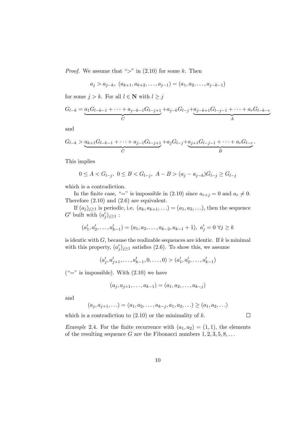*Proof.* We assume that ">" in  $(2.10)$  for some k. Then

$$
a_j > a_{j-k}, (a_{k+1}, a_{k+2}, \dots, a_{j-1}) = (a_1, a_2, \dots, a_{j-k-1})
$$

for some  $j > k$ . For all  $l \in \mathbb{N}$  with  $l \geq j$ 

$$
G_{l-k} = \underbrace{a_1 G_{l-k-1} + \dots + a_{j-k-1} G_{l-j+1}}_{C} + a_{j-k} G_{l-j} + \underbrace{a_{j-k+1} G_{l-j-1} + \dots + a_r G_{l-k-r}}_{A}
$$

and

$$
G_{l-k} > \underbrace{a_{k+1}G_{l-k-1} + \cdots + a_{j-1}G_{l-j+1}}_{C} + a_j G_{l-j} + \underbrace{a_{j+1}G_{l-j-1} + \cdots + a_r G_{l-r}}_{B}.
$$

This implies

$$
0\leq A < G_{l-j},\ 0\leq B < G_{l-j},\ A-B > (a_j-a_{j-k})G_{l-j}\geq G_{l-j}
$$

which is a contradiction.

In the finite case, "=" is impossible in (2.10) since  $a_{r+j} = 0$  and  $a_r \neq 0$ . Therefore (2.10) and (2.6) are equivalent.

If  $(a_j)_{j\geq 1}$  is periodic, i.e.  $(a_k, a_{k+1}, \ldots) = (a_1, a_2, \ldots)$ , then the sequence  $G'$  built with  $(a')$  $'_{j})_{j\geq 1}$  :

$$
(a'_1, a'_2, \dots, a'_{k-1}) = (a_1, a_2, \dots, a_{k-2}, a_{k-1} + 1), a'_j = 0 \,\forall j \ge k
$$

is identic with  $G$ , because the realizable sequences are identic. If  $k$  is minimal with this property,  $(a)$  $(j)_{j\geq 1}$  satisfies (2.6). To show this, we assume

> $(a<sub>1</sub>)$  $j'$ ,  $a'_{j+1}, \ldots, a'_{k-1}, 0, \ldots, 0) > (a'_{j})$  $a'_1, a'_2, \ldots, a'_{k-1}$

 $(*="$  is impossible). With  $(2.10)$  we have

$$
(a_j, a_{j+1}, \dots, a_{k-1}) = (a_1, a_2, \dots, a_{k-j})
$$

and

$$
(a_j, a_{j+1}, \ldots) = (a_1, a_2, \ldots, a_{k-j}, a_1, a_2, \ldots) \ge (a_1, a_2, \ldots)
$$

which is a contradiction to  $(2.10)$  or the minimality of k.

 $\Box$ 

*Example 2.4.* For the finite recurrence with  $(a_1, a_2) = (1, 1)$ , the elements of the resulting sequence G are the Fibonacci numbers  $1, 2, 3, 5, 8, \ldots$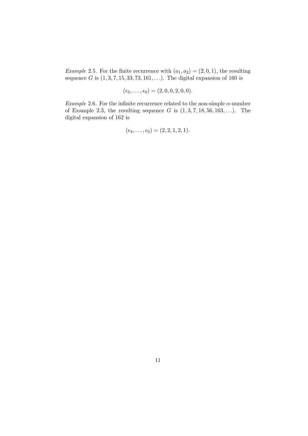Example 2.5. For the finite recurrence with  $(a_1, a_2) = (2, 0, 1)$ , the resulting sequence G is  $(1, 3, 7, 15, 33, 73, 161, ...)$ . The digital expansion of 160 is

$$
(\epsilon_5,\ldots,\epsilon_0)=(2,0,0,2,0,0).
$$

*Example* 2.6. For the infinite recurrence related to the non-simple  $\alpha$ -number of Example 2.3, the resulting sequence G is  $(1, 3, 7, 18, 56, 163, \ldots)$ . The digital expansion of 162 is

$$
(\epsilon_4, \ldots, \epsilon_0) = (2, 2, 1, 2, 1).
$$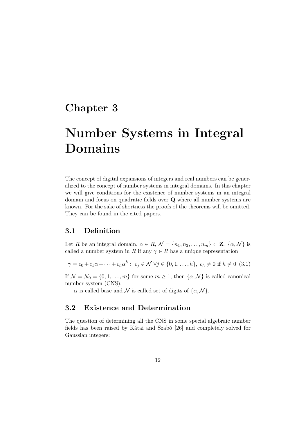### Chapter 3

## Number Systems in Integral Domains

The concept of digital expansions of integers and real numbers can be generalized to the concept of number systems in integral domains. In this chapter we will give conditions for the existence of number systems in an integral domain and focus on quadratic fields over Q where all number systems are known. For the sake of shortness the proofs of the theorems will be omitted. They can be found in the cited papers.

### 3.1 Definition

Let R be an integral domain,  $\alpha \in R$ ,  $\mathcal{N} = \{n_1, n_2, \ldots, n_m\} \subset \mathbf{Z}$ .  $\{\alpha, \mathcal{N}\}\$ is called a number system in R if any  $\gamma \in R$  has a unique representation

$$
\gamma = c_0 + c_1 \alpha + \dots + c_h \alpha^h : c_j \in \mathcal{N} \,\forall j \in \{0, 1, \dots, h\}, c_h \neq 0 \,\text{if } h \neq 0 \,\text{ (3.1)}
$$

If  $\mathcal{N} = \mathcal{N}_0 = \{0, 1, \dots, m\}$  for some  $m \geq 1$ , then  $\{\alpha, \mathcal{N}\}\)$  is called canonical number system (CNS).

 $\alpha$  is called base and N is called set of digits of  $\{\alpha, \mathcal{N}\}.$ 

### 3.2 Existence and Determination

The question of determining all the CNS in some special algebraic number fields has been raised by Kátai and Szabó [26] and completely solved for Gaussian integers: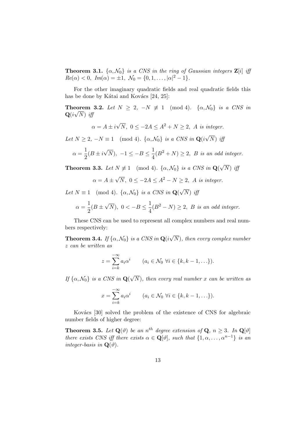**Theorem 3.1.**  $\{\alpha, \mathcal{N}_0\}$  is a CNS in the ring of Gaussian integers  $\mathbf{Z}[i]$  iff  $Re(\alpha) < 0, Im(\alpha) = \pm 1, \ \mathcal{N}_0 = \{0, 1, ..., |\alpha|^2 - 1\}.$ 

For the other imaginary quadratic fields and real quadratic fields this has be done by Kátai and Kovács  $[24, 25]$ :

**Theorem 3.2.** Let  $N \geq 2$ ,  $-N \not\equiv 1 \pmod{4}$ .  $\{\alpha, \mathcal{N}_0\}$  is a CNS in  $\mathbf{Q}(i\sqrt{N})$  iff

$$
\alpha = A \pm i\sqrt{N}, \ 0 \le -2A \le A^2 + N \ge 2, \ A \ is \ integer.
$$

Let  $N \ge 2$ ,  $-N \equiv 1 \pmod{4}$ .  $\{\alpha, \mathcal{N}_0\}$  is a CNS in  $\mathbf{Q}(i)$  $(N)$  iff

$$
\alpha = \frac{1}{2}(B \pm i\sqrt{N}), \ -1 \le -B \le \frac{1}{4}(B^2 + N) \ge 2, \ B \ \text{is an odd integer}.
$$

**Theorem 3.3.** Let  $N \neq 1 \pmod{4}$ .  $\{\alpha, \mathcal{N}_0\}$  is a CNS in  $\mathbf{Q}$  $(N)$  iff

$$
\alpha = A \pm \sqrt{N}, \ 0 \le -2A \le A^2 - N \ge 2, \ A \ is \ integer.
$$

Let  $N \equiv 1 \pmod{4}$ .  $\{\alpha, \mathcal{N}_0\}$  is a CNS in  $\mathbf{Q}(\sqrt{N})$  iff

$$
\alpha = \frac{1}{2}(B \pm \sqrt{N}), \ 0 < -B \le \frac{1}{4}(B^2 - N) \ge 2, \ B \ \text{is an odd integer}.
$$

These CNS can be used to represent all complex numbers and real numbers respectively: √

**Theorem 3.4.** If  $\{\alpha, \mathcal{N}_0\}$  is a CNS in  $\mathbf{Q}(i)$ N), then every complex number z can be written as

$$
z = \sum_{i=k}^{-\infty} a_i \alpha^i \qquad (a_i \in \mathcal{N}_0 \ \forall i \in \{k, k-1, \ldots\}).
$$

If  $\{\alpha, \mathcal{N}_0\}$  is a CNS in  $\mathbf{Q}$ ( N), then every real number x can be written as

$$
x = \sum_{i=k}^{-\infty} a_i \alpha^i \qquad (a_i \in \mathcal{N}_0 \ \forall i \in \{k, k-1, \ldots\}).
$$

Kovács [30] solved the problem of the existence of CNS for algebraic number fields of higher degree:

**Theorem 3.5.** Let  $\mathbf{Q}(\vartheta)$  be an  $n^{th}$  degree extension of  $\mathbf{Q}, n \geq 3$ . In  $\mathbf{Q}[\vartheta]$ there exists CNS iff there exists  $\alpha \in \mathbf{Q}[\vartheta]$ , such that  $\{1, \alpha, \ldots, \alpha^{n-1}\}\$  is an integer-basis in  $\mathbf{Q}(\vartheta)$ .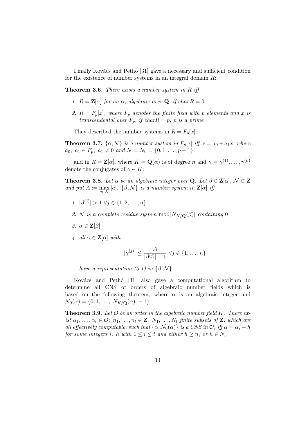Finally Kovács and Pethő [31] gave a necessary and sufficient condition for the existence of number systems in an integral domain  $R$ :

**Theorem 3.6.** There exists a number system in  $R$  iff

- 1.  $R = \mathbf{Z}[\alpha]$  for an  $\alpha$ , algebraic over **Q**, if char  $R = 0$
- 2.  $R = F_p[x]$ , where  $F_p$  denotes the finite field with p elements and x is transcendental over  $F_p$ , if char $R = p$ , p is a prime

They described the number systems in  $R = F_p[x]$ :

**Theorem 3.7.**  $\{\alpha, \mathcal{N}\}\)$  is a number system in  $F_p[x]$  iff  $\alpha = a_0 + a_1x$ , where  $a_0, a_1 \in F_p, a_1 \neq 0 \text{ and } \mathcal{N} = \mathcal{N}_0 = \{0, 1, \ldots, p - 1\}.$ 

and in  $R = \mathbf{Z}[\alpha]$ , where  $K = \mathbf{Q}(\alpha)$  is of degree n and  $\gamma = \gamma^{(1)}, \ldots, \gamma^{(n)}$ denote the conjugates of  $\gamma \in K$ :

**Theorem 3.8.** Let  $\alpha$  be an algebraic integer over **Q**. Let  $\beta \in \mathbf{Z}[\alpha]$ ,  $\mathcal{N} \subset \mathbf{Z}$ and put  $A := \max_{a \in \mathcal{N}} |a|$ .  $\{\beta, \mathcal{N}\}\$ is a number system in  $\mathbf{Z}[\alpha]$  if

- 1.  $|\beta^{(j)}| > 1 \ \forall j \in \{1, 2, ..., n\}$
- 2. N is a complete residue system mod  $|N_{K/\mathbf{Q}}(\beta)|$  containing 0
- 3.  $\alpha \in \mathbf{Z}[\beta]$
- 4. all  $\gamma \in \mathbf{Z}[\alpha]$  with

$$
|\gamma^{(j)}| \le \frac{A}{|\beta^{(j)}|-1} \,\,\forall j \in \{1,\ldots,n\}
$$

have a representation (3.1) in  $\{\beta, \mathcal{N}\}\$ 

Kovács and Pethő [31] also gave a computational algorithm to determine all CNS of orders of algebraic number fields which is based on the following theorem, where  $\alpha$  is an algebraic integer and  $\mathcal{N}_0(\alpha) = \{0, 1, \ldots, |N_{K/\mathbf{Q}}(\alpha)| - 1\}$ :

**Theorem 3.9.** Let  $\mathcal O$  be an order in the algebraic number field K. There exist  $\alpha_1, \ldots, \alpha_t \in \mathcal{O}; n_1, \ldots, n_t \in \mathbf{Z}, N_1, \ldots, N_t$  finite subsets of  $\mathbf{Z}$ , which are all effectively computable, such that  $\{\alpha, \mathcal{N}_0(\alpha)\}\$ is a CNS in  $\mathcal{O}$ , iff  $\alpha = \alpha_i - h$ for some integers i, h with  $1 \leq i \leq t$  and either  $h \geq n_i$  or  $h \in N_i$ .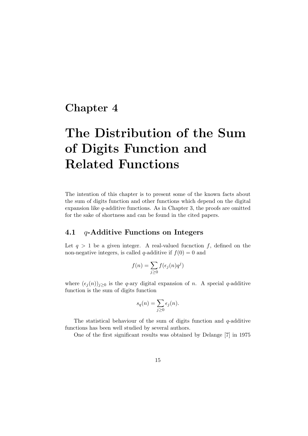### Chapter 4

# The Distribution of the Sum of Digits Function and Related Functions

The intention of this chapter is to present some of the known facts about the sum of digits function and other functions which depend on the digital expansion like  $q$ -additive functions. As in Chapter 3, the proofs are omitted for the sake of shortness and can be found in the cited papers.

### 4.1  $q$ -Additive Functions on Integers

Let  $q > 1$  be a given integer. A real-valued fucnction f, defined on the non-negative integers, is called q-additive if  $f(0) = 0$  and

$$
f(n) = \sum_{j \ge 0} f(\epsilon_j(n)q^j)
$$

where  $(\epsilon_j (n))_{j\geq 0}$  is the q-ary digital expansion of n. A special q-additive function is the sum of digits function

$$
s_q(n) = \sum_{j \geq 0} \epsilon_j(n).
$$

The statistical behaviour of the sum of digits function and  $q$ -additive functions has been well studied by several authors.

One of the first significant results was obtained by Delange [7] in 1975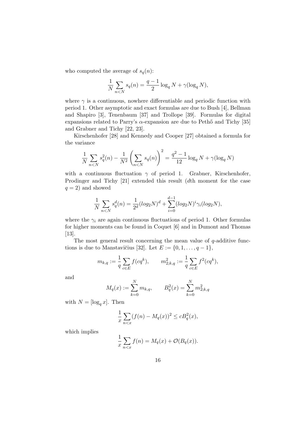who computed the average of  $s_q(n)$ :

$$
\frac{1}{N} \sum_{n < N} s_q(n) = \frac{q-1}{2} \log_q N + \gamma(\log_q N),
$$

where  $\gamma$  is a continuous, nowhere differentiable and periodic function with period 1. Other asymptotic and exact formulas are due to Bush [4], Bellman and Shapiro [3], Tenenbaum [37] and Trollope [39]. Formulas for digital expansions related to Parry's  $\alpha$ -expansion are due to Pethő and Tichy [35] and Grabner and Tichy [22, 23].

Kirschenhofer [28] and Kennedy and Cooper [27] obtained a formula for the variance

$$
\frac{1}{N} \sum_{n < N} s_q^2(n) - \frac{1}{N^2} \left( \sum_{n < N} s_q(n) \right)^2 = \frac{q^2 - 1}{12} \log_q N + \gamma(\log_q N)
$$

with a continuous fluctuation  $\gamma$  of period 1. Grabner, Kirschenhofer, Prodinger and Tichy [21] extended this result (dth moment for the case  $q = 2$ ) and showed

$$
\frac{1}{N} \sum_{n < N} s_q^d(n) = \frac{1}{2^d} (\log_2 N)^d + \sum_{i=0}^{d-1} (\log_2 N)^i \gamma_i (\log_2 N),
$$

where the  $\gamma_i$  are again continuous fluctuations of period 1. Other formulas for higher moments can be found in Coquet [6] and in Dumont and Thomas [13].

The most general result concerning the mean value of  $q$ -additive functions is due to Manstavičius [32]. Let  $E := \{0, 1, \ldots, q-1\},\$ 

$$
m_{k,q} := \frac{1}{q} \sum_{c \in E} f(cq^k), \qquad m_{2,k,q}^2 := \frac{1}{q} \sum_{c \in E} f^2(cq^k),
$$

and

$$
M_q(x) := \sum_{k=0}^{N} m_{k,q}, \qquad B_q^2(x) = \sum_{k=0}^{N} m_{2;k,q}^2
$$

with  $N = [\log_q x]$ . Then

$$
\frac{1}{x} \sum_{n < x} (f(n) - M_q(x))^2 \le c B_q^2(x),
$$

which implies

$$
\frac{1}{x}\sum_{n< x}f(n) = M_q(x) + \mathcal{O}(B_q(x)).
$$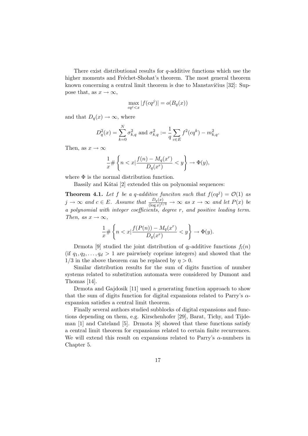There exist distributional results for  $q$ -additive functions which use the higher moments and Fréchet-Shohat's theorem. The most general theorem known concerning a central limit theorem is due to Manstavičius [32]: Suppose that, as  $x \to \infty$ ,

$$
\max_{cq^j < x} |f(cq^j)| = o(B_q(x))
$$

and that  $D_q(x) \to \infty$ , where

$$
D_q^2(x) = \sum_{k=0}^N \sigma_{k,q}^2 \text{ and } \sigma_{k,q}^2 := \frac{1}{q} \sum_{c \in E} f^2(cq^k) - m_{k,q}^2.
$$

Then, as  $x \to \infty$ 

$$
\frac{1}{x} \# \left\{ n < x \middle| \frac{f(n) - M_q(x^r)}{D_q(x^r)} < y \right\} \to \Phi(y),
$$

where  $\Phi$  is the normal distribution function.

Bassily and Kátai [2] extended this on polynomial sequences:

**Theorem 4.1.** Let f be a q-additive funciton such that  $f(cq^j) = \mathcal{O}(1)$  as  $j \to \infty$  and  $c \in E$ . Assume that  $\frac{D_q(x)}{(\log x)^{1/3}} \to \infty$  as  $x \to \infty$  and let  $P(x)$  be a polynomial with integer coefficients, degree r, and positive leading term. Then, as  $x \to \infty$ ,

$$
\frac{1}{x} \# \left\{ n < x | \frac{f(P(n)) - M_q(x^r)}{D_q(x^r)} < y \right\} \to \Phi(y).
$$

Drmota [9] studied the joint distribution of  $q_l$ -additive functions  $f_l(n)$ (if  $q_1, q_2, \ldots, q_d > 1$  are pairwisely coprime integers) and showed that the  $1/3$  in the above theorem can be replaced by  $\eta > 0$ .

Similar distribution results for the sum of digits function of number systems related to substitution automata were considered by Dumont and Thomas [14].

Drmota and Gajdosik [11] used a generating function approach to show that the sum of digits function for digital expansions related to Parry's  $\alpha$ expansion satisfies a central limit theorem.

Finally several authors studied subblocks of digital expansions and functions depending on them, e.g. Kirschenhofer [29], Barat, Tichy, and Tijdeman [1] and Cateland [5]. Drmota [8] showed that these functions satisfy a central limit theorem for expansions related to certain finite recurrences. We will extend this result on expansions related to Parry's  $\alpha$ -numbers in Chapter 5.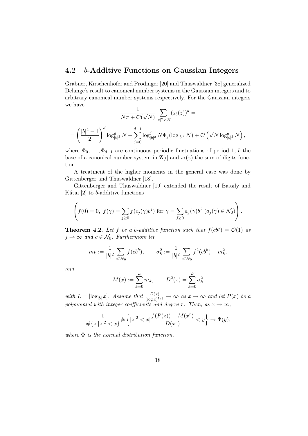### 4.2 b-Additive Functions on Gaussian Integers

Grabner, Kirschenhofer and Prodinger [20] and Thuswaldner [38] generalized Delange's result to canonical number systems in the Gaussian integers and to arbitrary canonical number systems respectively. For the Gaussian integers we have

$$
\frac{1}{N\pi + \mathcal{O}(\sqrt{N})} \sum_{|z|^2 < N} (s_b(z))^d =
$$
\n
$$
= \left(\frac{|b|^2 - 1}{2}\right)^d \log_{|b|^2}^d N + \sum_{j=0}^{d-1} \log_{|b|^2}^j N \Phi_j(\log_{|b|^2} N) + \mathcal{O}\left(\sqrt{N} \log_{|b|^2}^d N\right),
$$

where  $\Phi_0, \ldots, \Phi_{d-1}$  are continuous periodic fluctuations of period 1, b the base of a canonical number system in  $\mathbf{Z}[i]$  and  $s_b(z)$  the sum of digits function.

A treatment of the higher moments in the general case was done by Gittenberger and Thuswaldner [18].

Gittenberger and Thuswaldner [19] extended the result of Bassily and Kátai  $[2]$  to b-additive functions

$$
\left(f(0) = 0, f(\gamma) = \sum_{j \geq 0} f(c_j(\gamma)b^j) \text{ for } \gamma = \sum_{j \geq 0} a_j(\gamma)b^j \ (a_j(\gamma) \in \mathcal{N}_0)\right).
$$

**Theorem 4.2.** Let f be a b-additive function such that  $f(cb<sup>j</sup>) = \mathcal{O}(1)$  as  $j \to \infty$  and  $c \in \mathcal{N}_0$ . Furthermore let

$$
m_k := \frac{1}{|b|^2} \sum_{c \in \mathcal{N}_0} f(c b^k), \qquad \sigma_k^2 := \frac{1}{|b|^2} \sum_{c \in \mathcal{N}_0} f^2(c b^k) - m_k^2,
$$

and

$$
M(x) := \sum_{k=0}^{L} m_k, \qquad D^2(x) = \sum_{k=0}^{L} \sigma_k^2
$$

with  $L = [\log_{|b|} x]$ . Assume that  $\frac{D(x)}{(\log x)^{1/3}} \to \infty$  as  $x \to \infty$  and let  $P(x)$  be a polynomial with integer coefficients and degree r. Then, as  $x \to \infty$ ,

$$
\frac{1}{\# \{z||z|^2 < x\}} \# \left\{ |z|^2 < x \big| \frac{f(P(z)) - M(x^r)}{D(x^r)} < y \right\} \to \Phi(y),
$$

where  $\Phi$  is the normal distribution function.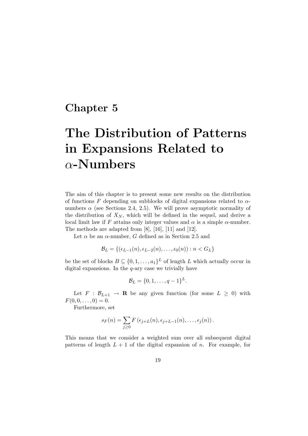### Chapter 5

# The Distribution of Patterns in Expansions Related to α-Numbers

The aim of this chapter is to present some new results on the distribution of functions F depending on subblocks of digital expansions related to  $\alpha$ numbers  $\alpha$  (see Sections 2.4, 2.5). We will prove asymptotic normality of the distribution of  $X_N$ , which will be defined in the sequel, and derive a local limit law if F attains only integer values and  $\alpha$  is a simple  $\alpha$ -number. The methods are adapted from [8], [16], [11] and [12].

Let  $\alpha$  be an  $\alpha$ -number, G defined as in Section 2.5 and

$$
\mathcal{B}_L = \{ (\epsilon_{L-1}(n), \epsilon_{L-2}(n), \ldots, \epsilon_0(n)) : n < G_L \}
$$

be the set of blocks  $B \subseteq \{0, 1, ..., a_1\}^L$  of length L which actually occur in digital expansions. In the  $q$ -ary case we trivially have

$$
\mathcal{B}_L = \{0, 1, \ldots, q-1\}^L.
$$

Let  $F : \mathcal{B}_{L+1} \to \mathbf{R}$  be any given function (for some  $L \geq 0$ ) with  $F(0, 0, \ldots, 0) = 0.$ 

Furthermore, set

$$
s_F(n) = \sum_{j\geq 0} F\left(\epsilon_{j+L}(n), \epsilon_{j+L-1}(n), \ldots, \epsilon_j(n)\right).
$$

This means that we consider a weighted sum over all subsequent digital patterns of length  $L + 1$  of the digital expansion of n. For example, for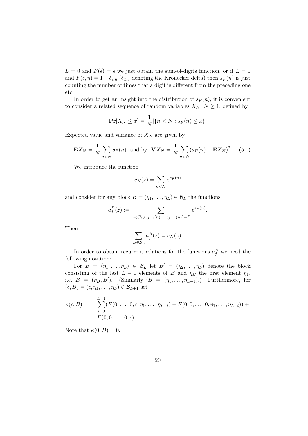$L = 0$  and  $F(\epsilon) = \epsilon$  we just obtain the sum-of-digits function, or if  $L = 1$ and  $F(\epsilon, \eta) = 1 - \delta_{\epsilon, \eta}$  ( $\delta_{x,y}$  denoting the Kronecker delta) then  $s_F(n)$  is just counting the number of times that a digit is different from the preceding one etc.

In order to get an insight into the distribution of  $s_F(n)$ , it is convenient to consider a related sequence of random variables  $X_N, N \geq 1$ , defined by

$$
\Pr[X_N \le x] = \frac{1}{N} |\{n < N : s_F(n) \le x\}|
$$

Expected value and variance of  $X_N$  are given by

$$
\mathbf{E}X_N = \frac{1}{N} \sum_{n < N} s_F(n) \quad \text{and by} \quad \mathbf{V}X_N = \frac{1}{N} \sum_{n < N} (s_F(n) - \mathbf{E}X_N)^2 \tag{5.1}
$$

We introduce the function

$$
c_N(z) = \sum_{n < N} z^{s_F(n)}
$$

and consider for any block  $B = (\eta_1, \dots, \eta_L) \in \mathcal{B}_L$  the functions

$$
a_j^B(z) := \sum_{n < G_j, (\epsilon_{j-1}(n), \ldots, \epsilon_{j-L}(n)) = B} z^{s_F(n)}.
$$

Then

$$
\sum_{B \in \mathcal{B}_L} a_j^B(z) = c_N(z).
$$

In order to obtain recurrent relations for the functions  $a_j^B$  we need the following notation:

For  $B = (\eta_1, \ldots, \eta_L) \in \mathcal{B}_L$  let  $B' = (\eta_2, \ldots, \eta_L)$  denote the block consisting of the last  $L - 1$  elements of B and  $\eta_B$  the first element  $\eta_1$ , i.e.  $B = (\eta_B, B')$ . (Similarly ' $B = (\eta_1, \ldots, \eta_{L-1})$ .) Furthermore, for  $(\epsilon, B) = (\epsilon, \eta_1, \ldots, \eta_L) \in \mathcal{B}_{L+1}$  set

$$
\kappa(\epsilon, B) = \sum_{i=0}^{L-1} (F(0, \ldots, 0, \epsilon, \eta_1, \ldots, \eta_{L-i}) - F(0, 0, \ldots, 0, \eta_1, \ldots, \eta_{L-i})) +
$$
  
 
$$
F(0, 0, \ldots, 0, \epsilon).
$$

Note that  $\kappa(0, B) = 0$ .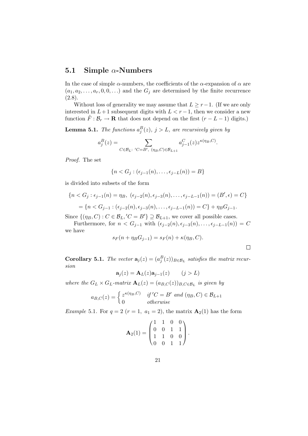#### 5.1 Simple  $\alpha$ -Numbers

In the case of simple  $\alpha$ -numbers, the coefficients of the  $\alpha$ -expansion of  $\alpha$  are  $(a_1, a_2, \ldots, a_r, 0, 0, \ldots)$  and the  $G_j$  are determined by the finite recurrence  $(2.8).$ 

Without loss of generality we may assume that  $L \geq r-1$ . (If we are only interested in  $L+1$  subsequent digits with  $L < r-1$ , then we consider a new function  $\tilde{F}: \mathcal{B}_r \to \mathbf{R}$  that does not depend on the first  $(r - L - 1)$  digits.)

**Lemma 5.1.** The functions  $a_j^B(z)$ ,  $j > L$ , are recursively given by

$$
a_j^B(z)=\sum_{C\in\mathcal{B}_L:\ C=B',\ (\eta_B,C)\in\mathcal{B}_{L+1}}a_{j-1}^C(z)z^{\kappa(\eta_B,C)}.
$$

Proof. The set

$$
\{n < G_j : (\epsilon_{j-1}(n), \ldots, \epsilon_{j-L}(n)) = B\}
$$

is divided into subsets of the form

$$
\{n < G_j : \epsilon_{j-1}(n) = \eta_B, \ (\epsilon_{j-2}(n), \epsilon_{j-3}(n), \dots, \epsilon_{j-L-1}(n)) = (B', \epsilon) = C\}
$$

$$
= \{n < G_{j-1} : (\epsilon_{j-2}(n), \epsilon_{j-3}(n), \dots, \epsilon_{j-L-1}(n)) = C\} + \eta_B G_{j-1}.
$$

Since  $\{(\eta_B, C) : C \in \mathcal{B}_L, C = B'\} \supseteq \mathcal{B}_{L+1}$ , we cover all possible cases.

Furthermore, for  $n < G_{j-1}$  with  $(\epsilon_{j-2}(n), \epsilon_{j-3}(n), \ldots, \epsilon_{j-L-1}(n)) = C$ we have

$$
s_F(n + \eta_B G_{j-1}) = s_F(n) + \kappa(\eta_B, C).
$$

 $\Box$ 

**Corollary 5.1.** The vector  $\mathbf{a}_j(z) = (a_j^B(z))_{B \in \mathcal{B}_L}$  satisfies the matrix recursion

$$
\mathbf{a}_j(z) = \mathbf{A}_L(z)\mathbf{a}_{j-1}(z) \qquad (j > L)
$$

where the  $G_L \times G_L$ -matrix  $\mathbf{A}_L(z) = (a_{B,C}(z))_{B,C \in \mathcal{B}_L}$  is given by

$$
a_{B,C}(z) = \begin{cases} z^{\kappa(\eta_B,C)} & \text{if } C = B' \text{ and } (\eta_B,C) \in \mathcal{B}_{L+1} \\ 0 & \text{otherwise} \end{cases}
$$

Example 5.1. For  $q = 2$   $(r = 1, a_1 = 2)$ , the matrix  $\mathbf{A}_2(1)$  has the form

$$
\mathbf{A}_2(1) = \begin{pmatrix} 1 & 1 & 0 & 0 \\ 0 & 0 & 1 & 1 \\ 1 & 1 & 0 & 0 \\ 0 & 0 & 1 & 1 \end{pmatrix}.
$$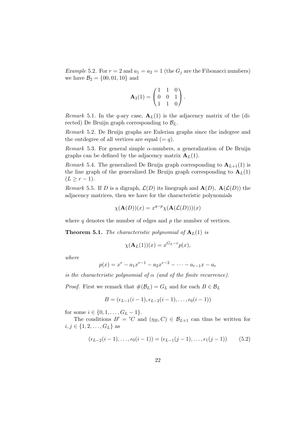*Example* 5.2. For  $r = 2$  and  $a_1 = a_2 = 1$  (the  $G_j$  are the Fibonacci numbers) we have  $B_2 = \{00, 01, 10\}$  and

$$
\mathbf{A}_2(1) = \begin{pmatrix} 1 & 1 & 0 \\ 0 & 0 & 1 \\ 1 & 1 & 0 \end{pmatrix}.
$$

Remark 5.1. In the q-ary case,  $A_L(1)$  is the adjacency matrix of the (directed) De Bruijn graph corresponding to  $\mathcal{B}_L$ .

Remark 5.2. De Bruijn graphs are Eulerian graphs since the indegree and the outdegree of all vertices are equal  $(= q)$ .

Remark 5.3. For general simple  $\alpha$ -numbers, a generalization of De Bruijn graphs can be defined by the adjacency matrix  $A_L(1)$ .

Remark 5.4. The generalized De Bruijn graph corresponding to  $A_{L+1}(1)$  is the line graph of the generalized De Bruijn graph corresponding to  $A_L(1)$  $(L \geq r - 1).$ 

Remark 5.5. If D is a digraph,  $\mathcal{L}(D)$  its linegraph and  $\mathbf{A}(D)$ ,  $\mathbf{A}(\mathcal{L}(D))$  the adjacency matrices, then we have for the characteristic polynomials

$$
\chi(\mathbf{A}(D))(x) = x^{q-p} \chi(\mathbf{A}(\mathcal{L}(D)))(x)
$$

where  $q$  denotes the number of edges and  $p$  the number of vertices.

**Theorem 5.1.** The characteristic polynomial of  $A_L(1)$  is

$$
\chi(\mathbf{A}_L(1))(x) = x^{G_L - r} p(x),
$$

where

$$
p(x) = xr - a1xr-1 - a2xr-2 - \dots - ar-1x - ar
$$

is the characteristic polynomial of  $\alpha$  (and of the finite recurrence).

*Proof.* First we remark that  $\#(\mathcal{B}_L) = G_L$  and for each  $B \in \mathcal{B}_L$ 

$$
B=(\epsilon_{L-1}(i-1),\epsilon_{L-2}(i-1),\ldots,\epsilon_0(i-1))
$$

for some  $i \in \{0, 1, \ldots, G_L - 1\}.$ 

The conditions  $B' = 'C$  and  $(\eta_B, C) \in \mathcal{B}_{L+1}$  can thus be written for  $i, j \in \{1, 2, \ldots, G_L\}$  as

$$
(\epsilon_{L-2}(i-1), \ldots, \epsilon_0(i-1)) = (\epsilon_{L-1}(j-1), \ldots, \epsilon_1(j-1))
$$
 (5.2)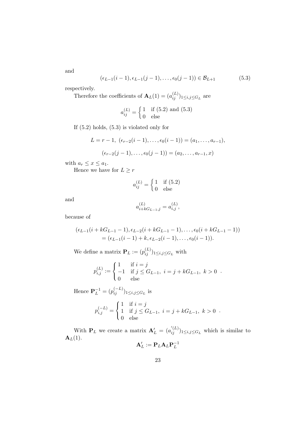and

$$
(\epsilon_{L-1}(i-1), \epsilon_{L-1}(j-1), \ldots, \epsilon_0(j-1)) \in \mathcal{B}_{L+1}
$$
 (5.3)

respectively.

Therefore the coefficients of  $\mathbf{A}_L(1) = (a_{ij}^{(L)})_{1 \leq i,j \leq G_L}$  are

$$
a_{ij}^{(L)} = \begin{cases} 1 & \text{if (5.2) and (5.3)} \\ 0 & \text{else} \end{cases}
$$

If (5.2) holds, (5.3) is violated only for

$$
L = r - 1, \ (\epsilon_{r-2}(i-1), \dots, \epsilon_0(i-1)) = (a_1, \dots, a_{r-1}),
$$

$$
(\epsilon_{r-2}(j-1), \dots, \epsilon_0(j-1)) = (a_2, \dots, a_{r-1}, x)
$$

with  $a_r \leq x \leq a_1$ .

Hence we have for  $L \geq r$ 

$$
a_{ij}^{(L)} = \begin{cases} 1 & \text{if } (5.2) \\ 0 & \text{else} \end{cases}
$$

and

$$
a_{i+kG_{L-1},j}^{(L)} = a_{i,j}^{(L)},
$$

because of

$$
(\epsilon_{L-1}(i + kG_{L-1} - 1), \epsilon_{L-2}(i + kG_{L-1} - 1), \dots, \epsilon_0(i + kG_{L-1} - 1))
$$
  
= (\epsilon\_{L-1}(i - 1) + k, \epsilon\_{L-2}(i - 1), \dots, \epsilon\_0(i - 1)).

We define a matrix  $\mathbf{P}_L := (p_{ij}^{(L)})_{1 \leq i,j \leq G_L}$  with

$$
p_{i,j}^{(L)} := \begin{cases} 1 & \text{if } i = j \\ -1 & \text{if } j \leq G_{L-1}, i = j + kG_{L-1}, k > 0 \\ 0 & \text{else} \end{cases}.
$$

Hence  ${\bf P}_L^{-1} = (p_{ij}^{(-L)})_{1 \le i,j \le G_L}$  is

$$
p_{i,j}^{(-L)} = \begin{cases} 1 & \text{if } i = j \\ 1 & \text{if } j \le G_{L-1}, i = j + kG_{L-1}, k > 0 \\ 0 & \text{else} \end{cases}.
$$

With  $P_L$  we create a matrix  $\mathbf{A}'_L = (a'_{ij})_{1 \leq i,j \leq G_L}$  which is similar to  $\mathbf{A}_L(1)$ .  $-1$ 

$$
\mathbf{A}'_L := \mathbf{P}_L \mathbf{A}_L \mathbf{P}_L^-
$$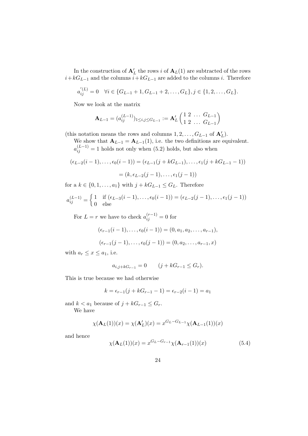In the construction of  $\mathbf{A}'_L$  the rows i of  $\mathbf{A}_L(1)$  are subtracted of the rows  $i+kG_{L-1}$  and the columns  $i+kG_{L-1}$  are added to the columns i. Therefore

$$
a_{ij}^{'(L)} = 0 \quad \forall i \in \{G_{L-1}+1, G_{L-1}+2, \ldots, G_L\}, j \in \{1, 2, \ldots, G_L\}.
$$

Now we look at the matrix

$$
\mathbf{A}_{L-1} = (a_{ij}^{(L-1)})_{1 \le i,j \le G_{L-1}} := \mathbf{A}'_L \begin{pmatrix} 1 & 2 & \dots & G_{L-1} \\ 1 & 2 & \dots & G_{L-1} \end{pmatrix}
$$

(this notation means the rows and columns  $1, 2, ..., G_{L-1}$  of  $\mathbf{A}'_L$ ).

We show that  $\mathbf{A}_{L-1} = \mathbf{A}_{L-1}(1)$ , i.e. the two definitions are equivalent.  $a_{ij}^{(L-1)} = 1$  holds not only when (5.2) holds, but also when

$$
(\epsilon_{L-2}(i-1), \ldots, \epsilon_0(i-1)) = (\epsilon_{L-1}(j + kG_{L-1}), \ldots, \epsilon_1(j + kG_{L-1} - 1))
$$

$$
= (k, \epsilon_{L-2}(j-1), \ldots, \epsilon_1(j-1))
$$

for a  $k \in \{0, 1, \ldots, a_1\}$  with  $j + kG_{L-1} \leq G_L$ . Therefore

$$
a_{ij}^{(L-1)} = \begin{cases} 1 & \text{if } (\epsilon_{L-3}(i-1), \dots, \epsilon_0(i-1)) = (\epsilon_{L-2}(j-1), \dots, \epsilon_1(j-1)) \\ 0 & \text{else} \end{cases}
$$

For  $L = r$  we have to check  $a_{ij}^{(r-1)} = 0$  for

$$
(\epsilon_{r-1}(i-1),\ldots,\epsilon_0(i-1))=(0,a_1,a_2,\ldots,a_{r-1}),
$$

$$
(\epsilon_{r-1}(j-1),\ldots,\epsilon_0(j-1))=(0,a_2,\ldots,a_{r-1},x)
$$

with  $a_r \leq x \leq a_1$ , i.e.

$$
a_{i,j+kG_{r-1}} = 0 \t\t (j+kG_{r-1} \le G_r).
$$

This is true because we had otherwise

$$
k = \epsilon_{r-1}(j + kG_{r-1} - 1) = \epsilon_{r-2}(i - 1) = a_1
$$

and  $k < a_1$  because of  $j + kG_{r-1} \leq G_r$ .

We have

$$
\chi(\mathbf{A}_L(1))(x) = \chi(\mathbf{A}'_L)(x) = x^{G_L - G_{L-1}} \chi(\mathbf{A}_{L-1}(1))(x)
$$

and hence

$$
\chi(\mathbf{A}_L(1))(x) = x^{G_L - G_{r-1}} \chi(\mathbf{A}_{r-1}(1))(x)
$$
\n(5.4)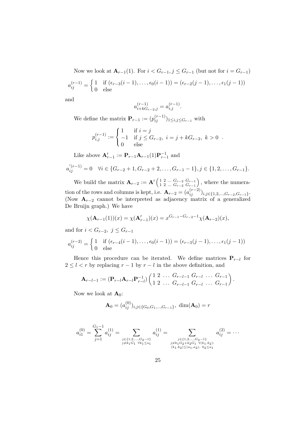Now we look at  $\mathbf{A}_{r-1}(1)$ . For  $i < G_{r-1}$ ,  $j \leq G_{r-1}$  (but not for  $i = G_{r-1}$ )  $a_{ij}^{(r-1)} = \begin{cases} 1 & \text{if } (\epsilon_{r-3}(i-1), \ldots, \epsilon_0(i-1)) = (\epsilon_{r-2}(j-1), \ldots, \epsilon_1(j-1)) \\ 0 & \text{else} \end{cases}$ 0 else

and

$$
a_{i+kG_{r-2},j}^{\left(r-1\right)}=a_{i,j}^{\left(r-1\right)}.
$$

We define the matrix  $\mathbf{P}_{r-1} := (p_{ij}^{(r-1)})_{1 \le i,j \le G_{r-1}}$  with

$$
p_{i,j}^{(r-1)} := \begin{cases} 1 & \text{if } i = j \\ -1 & \text{if } j \le G_{r-2}, i = j + kG_{r-2}, k > 0 \\ 0 & \text{else} \end{cases}.
$$

Like above  $\mathbf{A}_{r-1}^{\prime} := \mathbf{P}_{r-1}\mathbf{A}_{r-1}(1)\mathbf{P}_{r-1}^{-1}$  and

$$
a'_{ij}^{(r-1)} = 0 \quad \forall i \in \{G_{r-2}+1, G_{r-2}+2, \dots, G_{r-1}-1\}, j \in \{1, 2, \dots, G_{r-1}\}.
$$

We build the matrix  ${\bf A}_{r-2} := {\bf A}' \begin{pmatrix} 1 & 2 & ... & G_{r-2} & G_{r-1} \\ 1 & 2 & ... & G_{r-2} & G_{r-1} \end{pmatrix}$  $\begin{pmatrix} 1 & 2 & \dots & G_{r-2} & G_{r-1} \\ 1 & 2 & \dots & G_{r-2} & G_{r-1} \end{pmatrix}$ , where the numeration of the rows and columns is kept, i.e.  $\mathbf{A}_{r-2} = (a_{ij}^{(r-2)})_{i,j \in \{1,2,...,G_{r-2},G_{r-1}\}}$ . (Now  $A_{r-2}$  cannot be interpreted as adjacency matrix of a generalized De Bruijn graph.) We have

$$
\chi(\mathbf{A}_{r-1}(1))(x) = \chi(\mathbf{A}_{r-1}')(x) = x^{G_{r-1} - G_{r-2} - 1} \chi(\mathbf{A}_{r-2})(x),
$$

and for  $i < G_{r-2}$ ,  $j \leq G_{r-1}$ 

$$
a_{ij}^{(r-2)} = \begin{cases} 1 & \text{if } (\epsilon_{r-4}(i-1), \ldots, \epsilon_0(i-1)) = (\epsilon_{r-3}(j-1), \ldots, \epsilon_1(j-1)) \\ 0 & \text{else} \end{cases}
$$

Hence this procedure can be iterated. We define matrices  $P_{r-l}$  for  $2 \leq l < r$  by replacing  $r - 1$  by  $r - l$  in the above definition, and

$$
\mathbf{A}_{r-l-1} := (\mathbf{P}_{r-l} \mathbf{A}_{r-l} \mathbf{P}_{r-l}^{-1}) \begin{pmatrix} 1 & 2 & \dots & G_{r-l-1} & G_{r-l} & \dots & G_{r-1} \\ 1 & 2 & \dots & G_{r-l-1} & G_{r-l} & \dots & G_{r-1} \end{pmatrix}.
$$

Now we look at  $\mathbf{A}_0$ :

$$
\mathbf{A}_0 = (a_{ij}^{(0)})_{i,j \in \{G_0, G_1, \dots, G_{r-1}\}}, \dim(\mathbf{A}_0) = r
$$

$$
a_{i1}^{(0)} = \sum_{j=1}^{G_1-1} a_{ij}^{(1)} = \sum_{\substack{j \in \{1,2,\ldots,G_2-1\} \\ j \neq k_1 G_1 \ \forall k_1 \leq a_1}} a_{ij}^{(1)} = \sum_{\substack{j \in \{1,2,\ldots,G_3-1\} \\ j \neq k_1 G_2 + k_2 G_1 \ \forall (k_1, k_2): \\(k_1, k_2) \leq (a_1, a_2), \ k_2 \leq a_1}} a_{ij}^{(2)} = \cdots
$$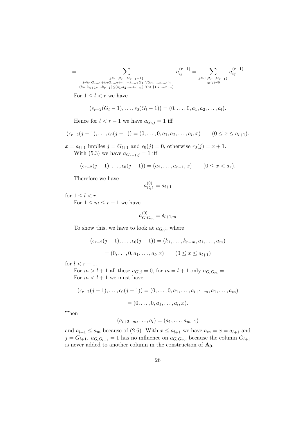$$
=\sum_{\substack{j\in\{1,2,\ldots,G_{r-1}-1\}\\(k_n,k_{n+1},\ldots,k_{r-1})\leq (a_1,a_2,\ldots,a_{r-n})}}a^{(r-1)}_{ij}=\sum_{\substack{j\in\{1,2,\ldots,G_{r-1}\}\\(k_n,k_{n+1},\ldots,k_{r-1})\leq (a_1,a_2,\ldots,a_{r-n})}}a^{(r-1)}_{ij}
$$

For  $1 \leq l < r$  we have

$$
(\epsilon_{r-2}(G_l-1),\ldots,\epsilon_0(G_l-1))=(0,\ldots,0,a_1,a_2,\ldots,a_l).
$$

Hence for  $l < r - 1$  we have  $a_{G_l,j} = 1$  iff

$$
(\epsilon_{r-2}(j-1),\ldots,\epsilon_0(j-1))=(0,\ldots,0,a_1,a_2,\ldots,a_l,x) \qquad (0\leq x\leq a_{l+1}).
$$

 $x = a_{l+1}$  implies  $j = G_{l+1}$  and  $\epsilon_0(j) = 0$ , otherwise  $\epsilon_0(j) = x + 1$ . With (5.3) we have  $a_{G_{r-1},j} = 1$  iff

$$
(\epsilon_{r-2}(j-1),...,\epsilon_0(j-1)) = (a_2,...,a_{r-1},x)
$$
  $(0 \le x < a_r).$ 

Therefore we have

$$
a_{G_l 1}^{(0)} = a_{l+1}
$$

for  $1 \leq l < r$ .

For  $1 \leq m \leq r-1$  we have

$$
a_{G_lG_m}^{(0)} = \delta_{l+1,m}
$$

To show this, we have to look at  $a_{G_{ij}}$ , where

$$
(\epsilon_{r-2}(j-1), \ldots, \epsilon_0(j-1)) = (k_1, \ldots, k_{r-m}, a_1, \ldots, a_m)
$$
  
= (0, \ldots, 0, a\_1, \ldots, a\_l, x) \qquad (0 \le x \le a\_{l+1})

for  $l < r - 1$ .

For  $m > l + 1$  all these  $a_{G_l j} = 0$ , for  $m = l + 1$  only  $a_{G_l G_m} = 1$ . For  $m < l + 1$  we must have

$$
(\epsilon_{r-2}(j-1), \ldots, \epsilon_0(j-1)) = (0, \ldots, 0, a_1, \ldots, a_{l+1-m}, a_1, \ldots, a_m)
$$
  
= (0, \ldots, 0, a\_1, \ldots, a\_l, x).

Then

 $(a_{l+2-m}, \ldots, a_l) = (a_1, \ldots, a_{m-1})$ 

and  $a_{l+1} \le a_m$  because of (2.6). With  $x \le a_{l+1}$  we have  $a_m = x = a_{l+1}$  and  $j = G_{l+1}$ .  $a_{G_lG_{l+1}} = 1$  has no influence on  $a_{G_lG_m}$ , because the column  $G_{l+1}$ is never added to another column in the construction of  $\mathbf{A}_0$ .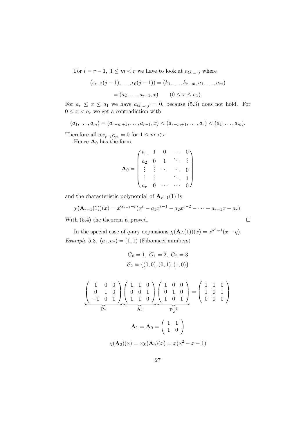For  $l = r - 1$ ,  $1 \leq m < r$  we have to look at  $a_{G_{r-1}j}$  where

$$
(\epsilon_{r-2}(j-1), \ldots, \epsilon_0(j-1)) = (k_1, \ldots, k_{r-m}, a_1, \ldots, a_m)
$$
  
=  $(a_2, \ldots, a_{r-1}, x)$   $(0 \le x \le a_1).$ 

For  $a_r \leq x \leq a_1$  we have  $a_{G_{r-1}j} = 0$ , because (5.3) does not hold. For  $0 \leq x < a_r$  we get a contradiction with

$$
(a_1, \ldots, a_m) = (a_{r-m+1}, \ldots, a_{r-1}, x) < (a_{r-m+1}, \ldots, a_r) < (a_1, \ldots, a_m).
$$

Therefore all  $a_{G_{r-1}G_m} = 0$  for  $1 \leq m < r$ . Hence  $\mathbf{A}_0$  has the form

$$
\mathbf{A}_0 = \begin{pmatrix} a_1 & 1 & 0 & \cdots & 0 \\ a_2 & 0 & 1 & \ddots & \vdots \\ \vdots & \vdots & \ddots & \ddots & 0 \\ \vdots & \vdots & & \ddots & 1 \\ a_r & 0 & \cdots & \cdots & 0 \end{pmatrix}
$$

and the characteristic polynomial of  $A_{r-1}(1)$  is

$$
\chi(\mathbf{A}_{r-1}(1))(x) = x^{G_{r-1}-r}(x^r - a_1x^{r-1} - a_2x^{r-2} - \cdots - a_{r-1}x - a_r).
$$

With (5.4) the theorem is proved.

In the special case of q-ary expansions  $\chi(\mathbf{A}_L(1))(x) = x^{q^L-1}(x-q)$ . Example 5.3.  $(a_1, a_2) = (1, 1)$  (Fibonacci numbers)

$$
G_0 = 1, G_1 = 2, G_2 = 3
$$
  
\n
$$
B_2 = \{(0,0), (0,1), (1,0)\}
$$
  
\n
$$
\underline{\begin{pmatrix} 1 & 0 & 0 \\ 0 & 1 & 0 \\ -1 & 0 & 1 \end{pmatrix}} \underline{\begin{pmatrix} 1 & 1 & 0 \\ 0 & 0 & 1 \\ 1 & 1 & 0 \end{pmatrix}} \underline{\begin{pmatrix} 1 & 0 & 0 \\ 0 & 1 & 0 \\ 1 & 0 & 1 \end{pmatrix}} = \begin{pmatrix} 1 & 1 & 0 \\ 1 & 0 & 1 \\ 0 & 0 & 0 \end{pmatrix}
$$
  
\n
$$
A_1 = A_0 = \begin{pmatrix} 1 & 1 \\ 1 & 0 \end{pmatrix}
$$
  
\n
$$
\chi(A_2)(x) = x\chi(A_0)(x) = x(x^2 - x - 1)
$$

 $\setminus$ 

 $\Box$ 

 $\overline{\phantom{a}}$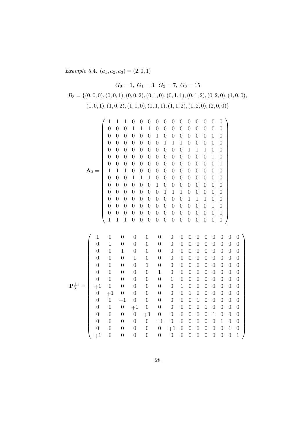Example 5.4.  $(a_1, a_2, a_3) = (2, 0, 1)$ 

$$
G_0 = 1, G_1 = 3, G_2 = 7, G_3 = 15
$$
  

$$
\mathcal{B}_3 = \{ (0, 0, 0), (0, 0, 1), (0, 0, 2), (0, 1, 0), (0, 1, 1), (0, 1, 2), (0, 2, 0), (1, 0, 0), (1, 0, 1), (1, 0, 2), (1, 1, 0), (1, 1, 1), (1, 1, 2), (1, 2, 0), (2, 0, 0) \}
$$

|                  | $\mathbf{1}$     | $\mathbf 1$      | 1                | 0                | 0                | 0                | $\boldsymbol{0}$ | 0                | 0                | 0                | 0                | 0                | $\boldsymbol{0}$ | 0                | 0                |                  |                  |
|------------------|------------------|------------------|------------------|------------------|------------------|------------------|------------------|------------------|------------------|------------------|------------------|------------------|------------------|------------------|------------------|------------------|------------------|
|                  | $\boldsymbol{0}$ | $\boldsymbol{0}$ | $\overline{0}$   | $\mathbf 1$      | $\mathbf 1$      | 1                | $\boldsymbol{0}$ | $\boldsymbol{0}$ | $\boldsymbol{0}$ | 0                | 0                | 0                | $\boldsymbol{0}$ | $\boldsymbol{0}$ | $\boldsymbol{0}$ |                  |                  |
|                  | $\boldsymbol{0}$ | $\boldsymbol{0}$ | $\boldsymbol{0}$ | $\boldsymbol{0}$ | $\boldsymbol{0}$ | $\boldsymbol{0}$ | $\mathbf{1}$     | $\boldsymbol{0}$ | $\boldsymbol{0}$ | $\boldsymbol{0}$ | $\boldsymbol{0}$ | $\boldsymbol{0}$ | $\boldsymbol{0}$ | $\boldsymbol{0}$ | $\boldsymbol{0}$ |                  |                  |
|                  | $\boldsymbol{0}$ | $\boldsymbol{0}$ | $\overline{0}$   | 0                | $\boldsymbol{0}$ | $\boldsymbol{0}$ | $\boldsymbol{0}$ | $\mathbf 1$      | $\mathbf{1}$     | $\mathbf{1}$     | 0                | 0                | $\boldsymbol{0}$ | $\boldsymbol{0}$ | $\boldsymbol{0}$ |                  |                  |
|                  | $\boldsymbol{0}$ | $\boldsymbol{0}$ | $\overline{0}$   | $\overline{0}$   | $\boldsymbol{0}$ | $\boldsymbol{0}$ | $\boldsymbol{0}$ | $\boldsymbol{0}$ | $\boldsymbol{0}$ | $\boldsymbol{0}$ | $\mathbf{1}$     | $\mathbf{1}$     | $\mathbf{1}$     | $\overline{0}$   | $\boldsymbol{0}$ |                  |                  |
|                  | $\boldsymbol{0}$ | $\boldsymbol{0}$ | $\overline{0}$   | 0                | $\boldsymbol{0}$ | $\boldsymbol{0}$ | $\boldsymbol{0}$ | $\boldsymbol{0}$ | $\boldsymbol{0}$ | $\boldsymbol{0}$ | $\overline{0}$   | $\overline{0}$   | $\boldsymbol{0}$ | $\mathbf 1$      | $\boldsymbol{0}$ |                  |                  |
|                  | $\boldsymbol{0}$ | $\boldsymbol{0}$ | $\boldsymbol{0}$ | $\boldsymbol{0}$ | $\boldsymbol{0}$ | $\boldsymbol{0}$ | $\boldsymbol{0}$ | $\boldsymbol{0}$ | $\boldsymbol{0}$ | $\overline{0}$   | $\overline{0}$   | $\boldsymbol{0}$ | $\boldsymbol{0}$ | $\boldsymbol{0}$ | $\mathbf{1}$     |                  |                  |
| ${\bf A}_3=$     | $\,1$            | $\mathbf 1$      | $\,1$            | $\boldsymbol{0}$ | $\boldsymbol{0}$ | $\boldsymbol{0}$ | $\boldsymbol{0}$ | $\boldsymbol{0}$ | $\boldsymbol{0}$ | $\boldsymbol{0}$ | 0                | 0                | $\boldsymbol{0}$ | $\boldsymbol{0}$ | $\boldsymbol{0}$ |                  |                  |
|                  | $\boldsymbol{0}$ | $\boldsymbol{0}$ | $\boldsymbol{0}$ | $1\,$            | $\mathbf{1}$     | $\mathbf{1}$     | $\boldsymbol{0}$ | $\boldsymbol{0}$ | $\boldsymbol{0}$ | 0                | $\overline{0}$   | 0                | $\overline{0}$   | $\overline{0}$   | $\boldsymbol{0}$ |                  |                  |
|                  | $\boldsymbol{0}$ | $\boldsymbol{0}$ | $\boldsymbol{0}$ | $\overline{0}$   | $\boldsymbol{0}$ | $\boldsymbol{0}$ | $\mathbf 1$      | $\boldsymbol{0}$ | $\boldsymbol{0}$ | $\boldsymbol{0}$ | $\overline{0}$   | $\boldsymbol{0}$ | $\boldsymbol{0}$ | $\overline{0}$   | $\boldsymbol{0}$ |                  |                  |
|                  | $\boldsymbol{0}$ | $\boldsymbol{0}$ | $\boldsymbol{0}$ | $\overline{0}$   | $\boldsymbol{0}$ | $\overline{0}$   | $\boldsymbol{0}$ | $\mathbf{1}$     | $1\,$            | $\mathbf{1}$     | $\overline{0}$   | $\overline{0}$   | $\overline{0}$   | $\overline{0}$   | $\boldsymbol{0}$ |                  |                  |
|                  | $\boldsymbol{0}$ | $\boldsymbol{0}$ | $\boldsymbol{0}$ | $\overline{0}$   | $\boldsymbol{0}$ | $\boldsymbol{0}$ | $\boldsymbol{0}$ | $\boldsymbol{0}$ | $\boldsymbol{0}$ | $\boldsymbol{0}$ | $\mathbf{1}$     | $\mathbf{1}$     | $\mathbf{1}$     | $\boldsymbol{0}$ | $\boldsymbol{0}$ |                  |                  |
|                  | $\boldsymbol{0}$ | $\boldsymbol{0}$ | $\boldsymbol{0}$ | $\overline{0}$   | $\boldsymbol{0}$ | $\overline{0}$   | $\boldsymbol{0}$ | $\boldsymbol{0}$ | $\boldsymbol{0}$ | $\boldsymbol{0}$ | $\overline{0}$   | $\overline{0}$   | $\overline{0}$   | $\mathbf 1$      | $\boldsymbol{0}$ |                  |                  |
|                  | $\boldsymbol{0}$ | $\boldsymbol{0}$ | $\theta$         | $\theta$         | $\boldsymbol{0}$ | $\boldsymbol{0}$ | $\boldsymbol{0}$ | $\boldsymbol{0}$ | $\boldsymbol{0}$ | $\boldsymbol{0}$ | $\boldsymbol{0}$ | $\boldsymbol{0}$ | $\boldsymbol{0}$ | $\overline{0}$   | $\mathbf 1$      |                  |                  |
|                  | $\mathbf{1}$     | $\mathbf{1}$     | $\mathbf{1}$     | 0                | $\boldsymbol{0}$ | $\boldsymbol{0}$ | $\boldsymbol{0}$ | $\boldsymbol{0}$ | $\boldsymbol{0}$ | $\boldsymbol{0}$ | $\boldsymbol{0}$ | $\boldsymbol{0}$ | $\boldsymbol{0}$ | $\overline{0}$   | $\boldsymbol{0}$ |                  |                  |
|                  |                  |                  |                  |                  |                  |                  |                  |                  |                  |                  |                  |                  |                  |                  |                  |                  |                  |
| $\mathbf 1$      | 0                |                  | 0                | $\boldsymbol{0}$ |                  | $\boldsymbol{0}$ | $\theta$         |                  | 0                | $\boldsymbol{0}$ | 0                | 0                | 0                | 0                | $\theta$         | 0                | $\boldsymbol{0}$ |
| $\boldsymbol{0}$ | $\mathbf 1$      |                  | $\boldsymbol{0}$ | $\boldsymbol{0}$ |                  | $\boldsymbol{0}$ | $\boldsymbol{0}$ |                  | $\boldsymbol{0}$ | $\boldsymbol{0}$ | $\boldsymbol{0}$ | $\boldsymbol{0}$ | $\boldsymbol{0}$ | $\boldsymbol{0}$ | $\boldsymbol{0}$ | $\boldsymbol{0}$ | $\boldsymbol{0}$ |
| $\boldsymbol{0}$ | $\boldsymbol{0}$ |                  | $\,1$            | $\boldsymbol{0}$ |                  | $\boldsymbol{0}$ | 0                |                  | 0                | $\boldsymbol{0}$ | $\boldsymbol{0}$ | 0                | 0                | 0                | $\boldsymbol{0}$ | $\boldsymbol{0}$ | $\boldsymbol{0}$ |
| $\boldsymbol{0}$ | $\boldsymbol{0}$ |                  | $\overline{0}$   | $\mathbf{1}$     |                  | $\boldsymbol{0}$ | 0                |                  | $\boldsymbol{0}$ | $\boldsymbol{0}$ | $\boldsymbol{0}$ | $\overline{0}$   | $\boldsymbol{0}$ | $\boldsymbol{0}$ | $\boldsymbol{0}$ | $\boldsymbol{0}$ | $\boldsymbol{0}$ |
| $\overline{0}$   | $\boldsymbol{0}$ |                  | $\boldsymbol{0}$ | $\boldsymbol{0}$ |                  | $\mathbf{1}$     | $\boldsymbol{0}$ |                  | $\overline{0}$   | $\overline{0}$   | $\boldsymbol{0}$ | $\overline{0}$   | $\boldsymbol{0}$ | $\boldsymbol{0}$ | $\boldsymbol{0}$ | $\overline{0}$   | $\boldsymbol{0}$ |

 $\setminus$ 

P ±1 <sup>3</sup> = 0 0 0 0 0 1 0 0 0 0 0 0 0 0 0 0 0 0 0 0 0 1 0 0 0 0 0 0 0 0 ∓1 0 0 0 0 0 0 1 0 0 0 0 0 0 0 0 ∓1 0 0 0 0 0 0 1 0 0 0 0 0 0 0 0 ∓1 0 0 0 0 0 0 1 0 0 0 0 0 0 0 0 ∓1 0 0 0 0 0 0 1 0 0 0 0 0 0 0 0 ∓1 0 0 0 0 0 0 1 0 0 0 0 0 0 0 0 ∓1 0 0 0 0 0 0 1 0 0 0 0 0 0 0 0 ∓1 0 0 0 0 0 0 1 0 ∓1 0 0 0 0 0 0 0 0 0 0 0 0 0 1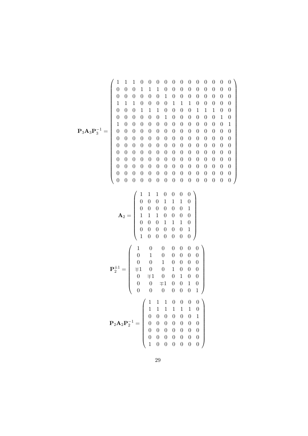P3A3P −1 <sup>3</sup> = 1 1 1 0 0 0 0 0 0 0 0 0 0 0 0 0 0 0 1 1 1 0 0 0 0 0 0 0 0 0 0 0 0 0 0 0 1 0 0 0 0 0 0 0 0 1 1 1 0 0 0 0 1 1 1 0 0 0 0 0 0 0 0 1 1 1 0 0 0 0 1 1 1 0 0 0 0 0 0 0 0 1 0 0 0 0 0 0 1 0 1 0 0 0 0 0 0 0 0 0 0 0 0 0 1 0 0 0 0 0 0 0 0 0 0 0 0 0 0 0 0 0 0 0 0 0 0 0 0 0 0 0 0 0 0 0 0 0 0 0 0 0 0 0 0 0 0 0 0 0 0 0 0 0 0 0 0 0 0 0 0 0 0 0 0 0 0 0 0 0 0 0 0 0 0 0 0 0 0 0 0 0 0 0 0 0 0 0 0 0 0 0 0 0 0 0 0 0 0 0 0 0 0 0 0 0 0 0 0 0 0 0 0 0 0 0 0 0 0 0 0 0 0 0 0 A<sup>2</sup> = 1 1 1 0 0 0 0 0 0 0 1 1 1 0 0 0 0 0 0 0 1 1 1 1 0 0 0 0 0 0 0 1 1 1 0 

$$
\mathbf{P}_{2}^{\pm 1} = \begin{pmatrix}\n1 & 0 & 0 & 0 & 0 & 0 & 1 \\
1 & 0 & 0 & 0 & 0 & 0 & 0 & 0 \\
0 & 1 & 0 & 0 & 0 & 0 & 0 & 0 \\
0 & 0 & 1 & 0 & 0 & 0 & 0 & 0 \\
0 & \mp 1 & 0 & 0 & 1 & 0 & 0 & 0 \\
0 & \mp 1 & 0 & 0 & 1 & 0 & 0 & 0 \\
0 & 0 & \mp 1 & 0 & 0 & 1 & 0 & 0 \\
0 & 0 & 0 & 0 & 0 & 0 & 1 & 0 \\
0 & 0 & 0 & 0 & 0 & 0 & 0 & 1\n\end{pmatrix}
$$
\n
$$
\mathbf{P}_{2}\mathbf{A}_{2}\mathbf{P}_{2}^{-1} = \begin{pmatrix}\n1 & 1 & 1 & 0 & 0 & 0 & 0 & 0 \\
1 & 1 & 1 & 1 & 1 & 1 & 0 & 0 \\
0 & 0 & 0 & 0 & 0 & 0 & 0 & 1 \\
0 & 0 & 0 & 0 & 0 & 0 & 0 & 0 \\
0 & 0 & 0 & 0 & 0 & 0 & 0 & 0 \\
0 & 0 & 0 & 0 & 0 & 0 & 0 & 0 \\
0 & 0 & 0 & 0 & 0 & 0 & 0 & 0 \\
0 & 0 & 0 & 0 & 0 & 0 & 0 & 0 \\
1 & 0 & 0 & 0 & 0 & 0 & 0 & 0\n\end{pmatrix}
$$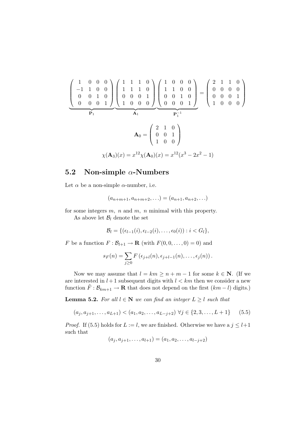$$
\begin{pmatrix}\n1 & 0 & 0 & 0 \\
-1 & 1 & 0 & 0 \\
0 & 0 & 1 & 0 \\
0 & 0 & 0 & 1\n\end{pmatrix}\n\begin{pmatrix}\n1 & 1 & 1 & 0 \\
1 & 1 & 1 & 0 \\
0 & 0 & 0 & 1 \\
1 & 0 & 0 & 0\n\end{pmatrix}\n\begin{pmatrix}\n1 & 0 & 0 & 0 \\
1 & 1 & 0 & 0 \\
0 & 0 & 1 & 0 \\
0 & 0 & 0 & 1\n\end{pmatrix}\n=\n\begin{pmatrix}\n2 & 1 & 1 & 0 \\
0 & 0 & 0 & 0 \\
0 & 0 & 0 & 1 \\
1 & 0 & 0 & 0\n\end{pmatrix}
$$
\n
$$
\mathbf{A}_0 = \begin{pmatrix}\n2 & 1 & 0 \\
0 & 0 & 1 \\
1 & 0 & 0\n\end{pmatrix}
$$
\n
$$
\chi(\mathbf{A}_3)(x) = x^{12}\chi(\mathbf{A}_0)(x) = x^{12}(x^3 - 2x^2 - 1)
$$

### 5.2 Non-simple  $\alpha$ -Numbers

Let  $\alpha$  be a non-simple  $\alpha$ -number, i.e.

$$
(a_{n+m+1}, a_{n+m+2}, \ldots) = (a_{n+1}, a_{n+2}, \ldots)
$$

for some integers  $m$ ,  $n$  and  $m$ ,  $n$  minimal with this property.

As above let  $\mathcal{B}_l$  denote the set

$$
\mathcal{B}_l = \{(\epsilon_{l-1}(i), \epsilon_{l-2}(i), \ldots, \epsilon_0(i)) : i < G_l\},
$$

F be a function  $F : \mathcal{B}_{l+1} \to \mathbf{R}$  (with  $F(0, 0, \ldots, 0) = 0$ ) and

$$
s_F(n) = \sum_{j\geq 0} F\left(\epsilon_{j+l}(n), \epsilon_{j+l-1}(n), \ldots, \epsilon_j(n)\right).
$$

Now we may assume that  $l = km \ge n + m - 1$  for some  $k \in \mathbb{N}$ . (If we are interested in  $l + 1$  subsequent digits with  $l < km$  then we consider a new function  $\tilde{F}: \mathcal{B}_{km+1} \to \mathbf{R}$  that does not depend on the first  $(km-l)$  digits.)

**Lemma 5.2.** For all  $l \in \mathbb{N}$  we can find an integer  $L \geq l$  such that

$$
(a_j, a_{j+1}, \dots, a_{L+1}) < (a_1, a_2, \dots, a_{L-j+2}) \ \forall j \in \{2, 3, \dots, L+1\} \tag{5.5}
$$

*Proof.* If (5.5) holds for  $L := l$ , we are finished. Otherwise we have a  $j \leq l+1$ such that

$$
(a_j, a_{j+1}, \dots, a_{l+1}) = (a_1, a_2, \dots, a_{l-j+2})
$$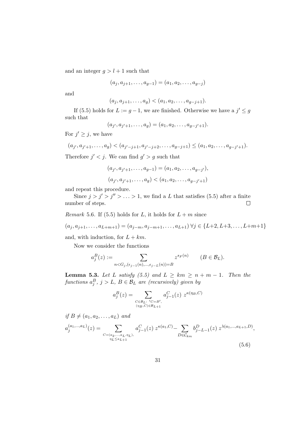and an integer  $g > l + 1$  such that

$$
(a_j, a_{j+1}, \dots, a_{g-1}) = (a_1, a_2, \dots, a_{g-j})
$$

and

$$
(a_j, a_{j+1}, \dots, a_g) < (a_1, a_2, \dots, a_{g-j+1}).
$$

If (5.5) holds for  $L := g - 1$ , we are finished. Otherwise we have a  $j' \leq g$ such that

$$
(a_{j'}, a_{j'+1}, \ldots, a_g) = (a_1, a_2, \ldots, a_{g-j'+1}).
$$

For  $j' \geq j$ , we have

$$
(a_{j'}, a_{j'+1}, \dots, a_g) < (a_{j'-j+1}, a_{j'-j+2}, \dots, a_{g-j+1}) \leq (a_1, a_2, \dots, a_{g-j'+1}).
$$

Therefore  $j' < j$ . We can find  $g' > g$  such that

$$
(a_{j'}, a_{j'+1}, \dots, a_{g-1}) = (a_1, a_2, \dots, a_{g-j'}),
$$
  

$$
(a_{j'}, a_{j'+1}, \dots, a_g) < (a_1, a_2, \dots, a_{g-j'+1})
$$

and repeat this procedure.

Since  $j > j' > j'' > \ldots > 1$ , we find a L that satisfies (5.5) after a finite number of steps.  $\Box$ 

*Remark* 5.6. If (5.5) holds for L, it holds for  $L + m$  since

$$
(a_j, a_{j+1}, \ldots, a_{L+m+1}) = (a_{j-m}, a_{j-m+1}, \ldots, a_{L+1}) \,\forall j \in \{L+2, L+3, \ldots, L+m+1\}
$$

and, with induction, for  $L + km$ .

Now we consider the functions

$$
a_j^B(z) := \sum_{n < G_j, (\epsilon_{j-1}(n), \dots, \epsilon_{j-L}(n)) = B} z^{s_F(n)} \qquad (B \in \mathcal{B}_L).
$$

**Lemma 5.3.** Let L satisfy (5.5) and  $L \geq km \geq n + m - 1$ . Then the functions  $a_j^B$ ,  $j > L$ ,  $B \in \mathcal{B}_L$  are (recursively) given by

$$
a_j^B(z) = \sum_{\substack{C \in \mathcal{B}_L : \ C = B', \\ (\eta_B, C) \in \mathcal{B}_{L+1}}} a_{j-1}^C(z) z^{\kappa(\eta_B, C)}
$$

if  $B \neq (a_1, a_2, \ldots, a_L)$  and

$$
a_j^{(a_1,...,a_L)}(z) = \sum_{\substack{C = (a_2,...,a_L,\eta_L),\\ \eta_L \le a_{L+1}}} a_{j-1}^C(z) z^{\kappa(a_1,C)} - \sum_{D \in \mathcal{C}_{km}} b_{j-L-1}^D(z) z^{\lambda(a_1,...,a_{L+1},D)},
$$
\n(5.6)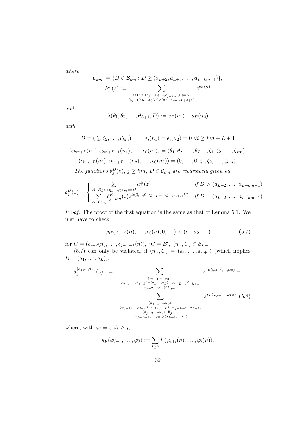where

$$
\mathcal{C}_{km} := \{ D \in \mathcal{B}_{km} : D \ge (a_{L+2}, a_{L+3}, \dots, a_{L+km+1}) \},
$$

$$
b_j^D(z) := \sum_{\substack{i < G_j: \ (e_{j-1}(i), \dots, e_{j-km}(i)) = D, \ (e_{j-1}(i), \dots, e_0(i)) > (a_{L+2}, \dots, a_{L+j+1})}} z^{s_F(n)}
$$

and

$$
\lambda(\theta_1,\theta_2,\ldots,\theta_{L+1},D):=s_F(n_1)-s_F(n_2)
$$

with

$$
D = (\zeta_1, \zeta_2, \dots, \zeta_{km}), \qquad \epsilon_i(n_1) = \epsilon_i(n_2) = 0 \ \forall i \geq km + L + 1
$$

$$
(\epsilon_{km+L}(n_1), \epsilon_{km+L+1}(n_1), \dots, \epsilon_0(n_1)) = (\theta_1, \theta_2, \dots, \theta_{L+1}, \zeta_1, \zeta_2, \dots, \zeta_{km}),
$$

$$
(\epsilon_{km+L}(n_2), \epsilon_{km+L+1}(n_2), \dots, \epsilon_0(n_2)) = (0, \dots, 0, \zeta_1, \zeta_2, \dots, \zeta_{km}).
$$
The functions  $b_j^D(z), j \geq km, D \in \mathcal{C}_{km}$  are recursively given by

$$
b_j^D(z) = \begin{cases} \sum_{B \in \mathcal{B}_L: (n_1, \dots, n_{km}) = D} a_j^B(z) & \text{if } D > (a_{L+2}, \dots, a_{L+km+1})\\ \sum_{E \in \mathcal{C}_{km}} b_{j-km}^E(z) z^{\lambda(0, \dots, 0, a_{L+2}, \dots, a_{L+km+1}, E)} & \text{if } D = (a_{L+2}, \dots, a_{L+km+1}) \end{cases}
$$

Proof. The proof of the first equation is the same as that of Lemma 5.1. We just have to check

$$
(\eta_B, \epsilon_{j-2}(n), \dots, \epsilon_0(n), 0, \dots) < (a_1, a_2, \dots) \tag{5.7}
$$

for  $C = (\epsilon_{j-2}(n), \ldots, \epsilon_{j-L-1}(n)), C = B', (\eta_B, C) \in \mathcal{B}_{L+1}.$ 

(5.7) can only be violated, if  $(\eta_B, C) = (a_1, \ldots, a_{L+1})$  (which implies  $B = (a_1, \ldots, a_L)).$ 

$$
a_j^{(a_1,...,a_L)}(z) = \sum_{\substack{(\varphi_{j-1},...,\varphi_0):\\ (\varphi_{j-1},...,\varphi_{j-L})=(a_1,...,a_L),\\ (\varphi_{j-2},...,\varphi_0)\in \mathcal{B}_{j-1}}} z^{s_F(\varphi_{j-1},...,\varphi_0)} - \sum_{\substack{(\varphi_{j-2},...,\varphi_0)\in \mathcal{B}_{j-1}}} z^{s_F(\varphi_{j-1},...,\varphi_0)} \quad (5.8)
$$
  

$$
\sum_{\substack{(\varphi_{j-1},...,\varphi_0):\\ (\varphi_{j-2},...,\varphi_0)\in \mathcal{B}_{j-1},\\ (\varphi_{j-2},...,\varphi_0)\in \mathcal{B}_{j-1},\\ (\varphi_{j-L-2},...,\varphi_0)\geq (a_{L+2},...,a_j)}} z^{s_F(\varphi_{j-1},...,\varphi_0)} \quad (5.8)
$$

where, with  $\varphi_i = 0 \; \forall i \geq j$ ,

$$
s_F(\varphi_{j-1},\ldots,\varphi_0):=\sum_{i\geq 0}F(\varphi_{i+l}(n),\ldots,\varphi_i(n)).
$$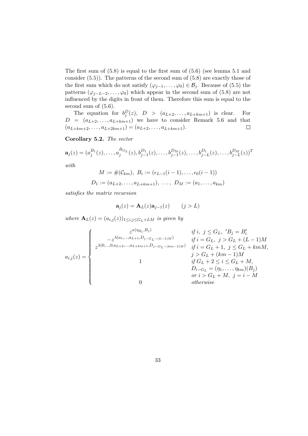The first sum of (5.8) is equal to the first sum of (5.6) (see lemma 5.1 and consider (5.5)). The patterns of the second sum of (5.8) are exactly those of the first sum which do not satisfy  $(\varphi_{j-1}, \ldots, \varphi_0) \in \mathcal{B}_j$ . Because of (5.5) the patterns  $(\varphi_{j-L-2}, \ldots, \varphi_0)$  which appear in the second sum of (5.8) are not influenced by the digits in front of them. Therefore this sum is equal to the second sum of (5.6).

The equation for  $b_j^D(z)$ ,  $D > (a_{L+2},...,a_{L+km+1})$  is clear. For  $D = (a_{L+2}, \ldots, a_{L+km+1})$  we have to consider Remark 5.6 and that  $(a_{L+km+2}, \ldots, a_{L+2km+1}) = (a_{L+2}, \ldots, a_{L+km+1}).$ 

Corollary 5.2. The vector

$$
\mathbf{a}_{j}(z) = (a_{j}^{B_{1}}(z), \ldots, a_{j}^{B_{G_{L}}}(z), b_{j-1}^{D_{1}}(z), \ldots, b_{j-1}^{D_{M}}(z), \ldots, b_{j-L}^{D_{1}}(z), \ldots, b_{j-L}^{D_{M}}(z))^{T}
$$
  
with

$$
M := \#(\mathcal{C}_{km}), \ B_i := (\epsilon_{L-1}(i-1), \dots, \epsilon_0(i-1))
$$
  

$$
D_1 := (a_{L+2}, \dots, a_{L+km+1}), \ \dots, \ D_M := (a_1, \dots, a_{km})
$$

satisfies the matrix recursion

$$
\mathbf{a}_j(z) = \mathbf{A}_L(z)\mathbf{a}_{j-1}(z) \qquad (j > L)
$$

where  $\mathbf{A}_L(z) = (a_{i,j}(z))_{1 \le i,j \le G_L+LM}$  is given by

$$
a_{i,j}(z) = \begin{cases} z^{\kappa(\eta_{B_i}, B_j)} & \text{if } i, j \leq G_L, \, 'B_j = B_i' \\ z^{\lambda(a_1, \ldots, a_{L+1}, D_{j-G_L - (L-1)M})} & \text{if } i = G_L, \, j > G_L + (L-1)M \\ z^{\lambda(0, \ldots, 0, a_{L+2}, \ldots, a_{L+km+1}, D_{j-G_L - (km-1)M})} & \text{if } i = G_L + 1, \, j \leq G_L + kmM, \\ 1 & \text{if } G_L + 2 \leq i \leq G_L + M, \\ 0 & \text{if } G_L + 2 \leq i \leq G_L + M, \, D_{i-G_L} = (\eta_1, \ldots, \eta_{km})(B_j) \\ 0 & \text{otherwise} \end{cases}
$$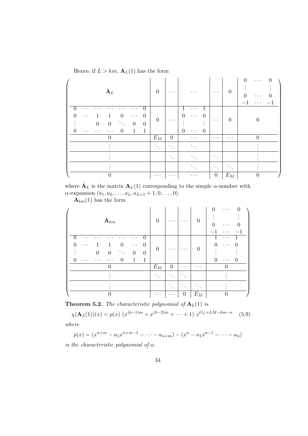Hence, if  $L > km$ ,  $\mathbf{A}_{L}(1)$  has the form

| $\tilde{\textbf{A}}_L$                                                                                                                                                                                                                                                        | $\theta$                    | $\cdots$                    | $\cdots$                                                                          | $\cdots$                             | $\overline{0}$  | 0<br>0<br>$\cdots$<br>0<br>$\cdots$<br>. |
|-------------------------------------------------------------------------------------------------------------------------------------------------------------------------------------------------------------------------------------------------------------------------------|-----------------------------|-----------------------------|-----------------------------------------------------------------------------------|--------------------------------------|-----------------|------------------------------------------|
| $\overline{0}$<br>$\cdots$<br>.<br>$\theta$<br>$\overline{0}$<br>1<br>$\theta$<br>$\cdots$<br>$\cdots$<br>$\boldsymbol{0}$<br>$\boldsymbol{0}$<br>$\boldsymbol{0}$<br>$\theta$<br>$\langle \cdot \rangle_{\rm c}$<br>$\overline{0}$<br>$\mathbf{1}$<br>$\mathbf{1}$<br>.<br>. | $\theta$                    | $\cdots$                    | .<br>$\Omega$<br>$\cup$<br>$\cdots$<br>٠<br>٠<br>$\theta$<br>$\theta$<br>$\cdots$ | $\cdots$                             | $\theta$        |                                          |
| $\theta$                                                                                                                                                                                                                                                                      | $E_M$                       | $\theta$                    | $\cdots$                                                                          | $\cdots$                             | $\cdots$        | $\Omega$                                 |
|                                                                                                                                                                                                                                                                               | $\mathcal{N}_{\mathcal{A}}$ | $\mathcal{L}_{\mathcal{A}}$ |                                                                                   |                                      |                 |                                          |
|                                                                                                                                                                                                                                                                               |                             | $\bullet$<br>$\bullet$      |                                                                                   | ٠<br>$\bullet$                       |                 |                                          |
|                                                                                                                                                                                                                                                                               |                             |                             |                                                                                   | ٠<br>$\langle \cdot \rangle_{\rm c}$ | $\bullet$       |                                          |
|                                                                                                                                                                                                                                                                               | $\cdots$                    | $\cdots$                    | $\cdots$                                                                          | $\overline{0}$                       | $\mathcal{E}_M$ | 0                                        |

where  $\tilde{\mathbf{A}}_L$  is the matrix  $\mathbf{A}_L(1)$  corresponding to the simple  $\alpha$ -number with  $\alpha$ -expansion  $(a_1, a_2, \ldots, a_L, a_{L+1} + 1, 0, \ldots, 0).$ 

 $\mathbf{A}_{km}(1)$  has the form

| $\tilde{\textbf{A}}_{km}$                                                                                                                                                                                                            | $\overline{0}$              | $\cdots$                  | $\cdots$                                 | $\boldsymbol{0}$ | $\Omega$<br>$\cdots$<br>U<br>. |
|--------------------------------------------------------------------------------------------------------------------------------------------------------------------------------------------------------------------------------------|-----------------------------|---------------------------|------------------------------------------|------------------|--------------------------------|
| 0<br>$\ddot{\phantom{0}}$<br>$\Omega$<br>$\overline{0}$<br>∩<br>$\cdots$<br>$\cdots$<br>$\boldsymbol{0}$<br>$\boldsymbol{0}$<br>$\theta$<br>$\theta$<br>$\langle \cdot \rangle_{\rm c}$<br>1<br>$\mathbf 1$<br>0<br>. .<br>$\bullet$ | $\overline{0}$              | .                         | $\cdots$                                 | $\boldsymbol{0}$ | .<br>$\Omega$<br>0<br>.<br>.   |
|                                                                                                                                                                                                                                      | $E_M$                       | $\overline{0}$            | $\cdots$                                 | $\cdots$         | ∩                              |
|                                                                                                                                                                                                                                      | $\mathcal{N}_{\mathcal{C}}$ | ٠<br>$\bullet$<br>$\cdot$ | $\bullet$<br>$\bullet$<br>$\bullet$      |                  |                                |
|                                                                                                                                                                                                                                      |                             | ٠<br>$\bullet$            | $\bullet$<br>$\bullet$<br>$\blacksquare$ |                  |                                |
|                                                                                                                                                                                                                                      | $\cdots$                    | $\cdots$                  | $\boldsymbol{0}$                         | $E_M$            |                                |

**Theorem 5.2.** The characteristic polynomial of  $A_L(1)$  is

 $\chi(\mathbf{A}_L(1))(x) = p(x) \left( x^{(k-1)m} + x^{(k-2)m} + \cdots + 1 \right) x^{G_L + LM - km - n}$  (5.9) where

 $p(x) = (x^{n+m} - a_1x^{n+m-1} - \cdots - a_{n+m}) - (x^n - a_1x^{n-1} - \cdots - a_n)$ 

is the characteristic polynomial of  $\alpha$ .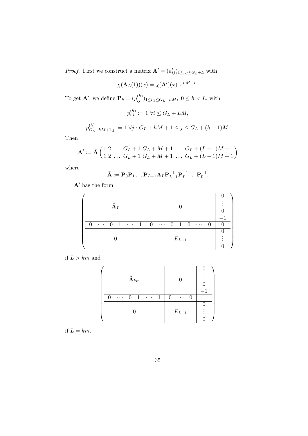*Proof.* First we construct a matrix  $\mathbf{A}' = (a'_{ij})_{1 \leq i,j \leq G_L + L}$  with

$$
\chi(\mathbf{A}_L(1))(x) = \chi(\mathbf{A}')(x) x^{LM-L}.
$$

To get  $\mathbf{A}'$ , we define  $\mathbf{P}_h = (p_{ij}^{(h)})_{1 \le i,j \le G_L + LM}$ ,  $0 \le h < L$ , with

$$
p_{i,i}^{(h)} := 1 \,\,\forall i \le G_L + LM,
$$

$$
p_{G_L+hM+1,j}^{(h)} := 1 \,\forall j : G_L + hM + 1 \le j \le G_L + (h+1)M.
$$

Then

$$
\mathbf{A'} := \bar{\mathbf{A}} \begin{pmatrix} 1 & 2 & \dots & G_L + 1 & G_L + M + 1 & \dots & G_L + (L - 1)M + 1 \\ 1 & 2 & \dots & G_L + 1 & G_L + M + 1 & \dots & G_L + (L - 1)M + 1 \end{pmatrix}
$$

where

$$
\bar{\mathbf{A}} := \mathbf{P}_0 \mathbf{P}_1 \dots \mathbf{P}_{L-1} \mathbf{A}_L \mathbf{P}_{L-1}^{-1} \mathbf{P}_L^{-1} \dots \mathbf{P}_0^{-1}.
$$

 $\mathbf{A}'$  has the form

| ${\bf A}_L$                                                                |                                                            |  |  |
|----------------------------------------------------------------------------|------------------------------------------------------------|--|--|
| $\overline{1}$<br>$\mathbf{1}$<br>$\overline{0}$<br>$\ldots$ .<br>$\cdots$ | -1<br>$0 \cdots$<br>$\mathbf{0}$<br>$\cdots$ 0<br>$\theta$ |  |  |
|                                                                            |                                                            |  |  |
|                                                                            | $E_{L-1}$                                                  |  |  |
|                                                                            |                                                            |  |  |

if  $L > km$  and

| $\tilde{\textbf{A}}_{km}$ |  |          |                |              |            |   | $\mathbf{I}$             |  |  |
|---------------------------|--|----------|----------------|--------------|------------|---|--------------------------|--|--|
|                           |  | $\cdots$ | $\overline{0}$ | $\mathbf{1}$ | $\cdots$ . | 1 | $\mathbf{0}$<br>$\cdots$ |  |  |
|                           |  |          |                |              |            |   |                          |  |  |
|                           |  |          |                |              |            |   | $E_{L-1}$                |  |  |
|                           |  |          |                |              |            |   |                          |  |  |

if  $L = km$ .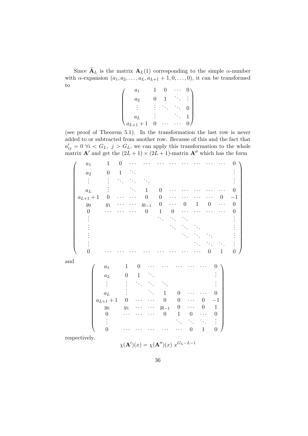Since  $\tilde{\mathbf{A}}_L$  is the matrix  $\mathbf{A}_L(1)$  corresponding to the simple  $\alpha$ -number with  $\alpha$ -expansion  $(a_1, a_2, \ldots, a_L, a_{L+1} + 1, 0, \ldots, 0)$ , it can be transformed to

| $a_1$                     |   | J |  |
|---------------------------|---|---|--|
| $a_2$                     |   |   |  |
|                           |   |   |  |
| $a_L$                     |   |   |  |
| $\mathbf{1}$<br>$a_{L+1}$ | U |   |  |

(see proof of Theorem 5.1). In the transformation the last row is never added to or subtracted from another row. Because of this and the fact that  $a'_{ij} = 0 \ \forall i \langle G_L, j \rangle G_L$ , we can apply this transformation to the whole matrix  $\mathbf{A}'$  and get the  $(2L + 1) \times (2L + 1)$ -matrix  $\mathbf{A}''$  which has the form

|     | $\boldsymbol{a}_1$ | $\mathbf 1$        | $\boldsymbol{0}$ |                             |                  |                             |                                           |                                           |                                |                  | 0                |
|-----|--------------------|--------------------|------------------|-----------------------------|------------------|-----------------------------|-------------------------------------------|-------------------------------------------|--------------------------------|------------------|------------------|
|     | $a_2$              | $\boldsymbol{0}$   | $\,1$            | $\mathcal{C}_{\mathcal{A}}$ |                  |                             |                                           |                                           |                                |                  |                  |
|     |                    |                    |                  |                             |                  |                             |                                           |                                           |                                |                  |                  |
|     | $a_L$              |                    |                  | $\ddot{\phantom{a}}$ .      | $\mathbf{1}$     | $\theta$                    |                                           |                                           |                                |                  | 0                |
|     | $a_{L+1}+{\bf 1}$  | $\Omega$           |                  |                             | $\boldsymbol{0}$ | 0                           |                                           |                                           |                                | $\theta$         | $^{-1}$          |
|     | $y_{\rm 0}$        | $\mathfrak{y}_1$   |                  |                             | $y_{l-1}$        | 0                           | $\ddotsc$                                 | $\theta$                                  | $\mathbf{1}$<br>$\overline{0}$ | $\ddotsc$        | $\overline{0}$   |
|     | $\theta$           |                    |                  |                             | $\boldsymbol{0}$ | $\mathbf 1$                 | $\boldsymbol{0}$                          |                                           |                                |                  | 0                |
|     |                    |                    |                  |                             |                  | $\mathcal{F}_{\mathcal{A}}$ |                                           |                                           |                                |                  |                  |
|     |                    |                    |                  |                             |                  |                             | $\mathcal{F}_{\mathcal{F}_{\mathcal{F}}}$ | $\ddot{\phantom{0}}$                      |                                |                  |                  |
|     |                    |                    |                  |                             |                  |                             |                                           | $\mathcal{F}_{\mathcal{F}_{\mathcal{F}}}$ |                                |                  |                  |
|     |                    |                    |                  |                             |                  |                             |                                           |                                           |                                |                  |                  |
|     | 0                  |                    |                  |                             |                  |                             |                                           |                                           | $\boldsymbol{0}$               | $\mathbf{1}$     | $\boldsymbol{0}$ |
| and |                    |                    |                  |                             |                  |                             |                                           |                                           |                                |                  |                  |
|     |                    | $\boldsymbol{a}_1$ | $\mathbf 1$      | $\boldsymbol{0}$            |                  |                             |                                           |                                           |                                | $\theta$         |                  |
|     |                    | $a_2$              | $\boldsymbol{0}$ | $\,1$                       | $\cdot$ .        |                             |                                           |                                           |                                |                  |                  |
|     |                    |                    |                  |                             |                  |                             |                                           |                                           |                                |                  |                  |
|     |                    | $a_L$              |                  |                             |                  | $\mathbf{1}$                | $\Omega$                                  |                                           |                                | $\Omega$         |                  |
|     |                    | $a_{L+1}+1\,$      | $\theta$         |                             |                  | $\boldsymbol{0}$            | $\overline{0}$                            |                                           | 0                              | $-1$             |                  |
|     |                    | $y_{\rm 0}$        | $\mathfrak{y}_1$ |                             |                  | $y_{l-1}$                   | $\boldsymbol{0}$                          | .                                         | 0                              | $\mathbf{1}$     |                  |
|     |                    | $\boldsymbol{0}$   |                  |                             |                  | $\boldsymbol{0}$            | $\mathbf{1}$                              | $\boldsymbol{0}$                          |                                | $\boldsymbol{0}$ |                  |
|     |                    |                    |                  |                             |                  |                             |                                           |                                           | $\ddot{\phantom{a}}$ .         |                  |                  |
|     |                    | $\overline{0}$     |                  |                             |                  |                             |                                           | $\boldsymbol{0}$                          | $\mathbf{1}$                   | $\boldsymbol{0}$ |                  |
|     | respectively.      |                    |                  |                             |                  |                             | $\sim$                                    | $\mathbf{r}$ and $\mathbf{r}$             |                                |                  |                  |

$$
\chi(\mathbf{A}')(x) = \chi(\mathbf{A}'')(x) x^{G_L - L - 1}
$$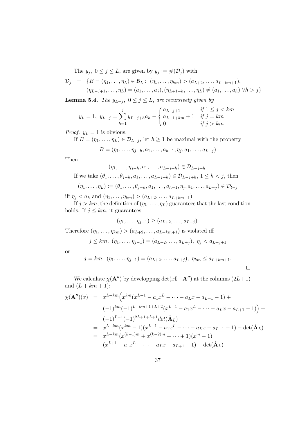The  $y_j, 0 \le j \le L$ , are given by  $y_j := \#(\mathcal{D}_j)$  with

$$
\mathcal{D}_j = \{ B = (\eta_1, ..., \eta_L) \in \mathcal{B}_L : (\eta_1, ..., \eta_{km}) > (a_{L+2}, ..., a_{L+km+1}), \n(\eta_{L-j+1}, ..., \eta_L) = (a_1, ..., a_j), (\eta_{L+1-h}, ..., \eta_L) \neq (a_1, ..., a_h) \ \forall h > j \}
$$

**Lemma 5.4.** The  $y_{L-j}$ ,  $0 \le j \le L$ , are recursively given by

$$
y_L = 1, \ y_{L-j} = \sum_{h=1}^{j} y_{L-j+h} a_h - \begin{cases} a_{L+j+1} & \text{if } 1 \le j < km \\ a_{L+1+km} + 1 & \text{if } j = km \\ 0 & \text{if } j > km \end{cases}
$$

*Proof.*  $y_L = 1$  is obvious.

If  $B = (\eta_1, \ldots, \eta_L) \in \mathcal{D}_{L-j}$ , let  $h \geq 1$  be maximal with the property

$$
B = (\eta_1, \ldots, \eta_{j-h}, a_1, \ldots, a_{h-1}, \eta_j, a_1, \ldots, a_{L-j})
$$

Then

 $(\eta_1, \ldots, \eta_{i-h}, a_1, \ldots, a_{L-i+h}) \in \mathcal{D}_{L-i+h}.$ If we take  $(\theta_1, \ldots, \theta_{j-h}, a_1, \ldots, a_{L-j+h}) \in \mathcal{D}_{L-j+h}, 1 \leq h < j$ , then

$$
(\eta_1,\ldots,\eta_L):=(\theta_1,\ldots,\theta_{j-h},a_1,\ldots,a_{h-1},\eta_j,a_1,\ldots,a_{L-j})\in\mathcal{D}_{l-j}
$$

iff  $\eta_j < a_h$  and  $(\eta_1, ..., \eta_{km}) > (a_{L+2}, ..., a_{L+km+1}).$ 

If  $j > km$ , the definition of  $(\eta_1, \ldots, \eta_L)$  guarantees that the last condition holds. If  $j \leq km$ , it guarantees

$$
(\eta_1,\ldots,\eta_{j-1})\geq (a_{L+2},\ldots,a_{L+j}).
$$

Therefore  $(\eta_1, \ldots, \eta_{km}) > (a_{L+2}, \ldots, a_{L+km+1})$  is violated iff

$$
j \leq km, (\eta_1, \ldots, \eta_{j-1}) = (a_{L+2}, \ldots, a_{L+j}), \ \eta_j < a_{L+j+1}
$$

or

$$
j = km, (\eta_1, ..., \eta_{j-1}) = (a_{L+2}, ..., a_{L+j}), \eta_{km} \le a_{L+km+1}.
$$

 $\Box$ 

We calculate  $\chi(\mathbf{A}^{\prime\prime})$  by developping det(x**I**−**A** $^{\prime\prime}$ ) at the columns (2L+1) and  $(L + km + 1)$ :

$$
\chi(\mathbf{A}'')(x) = x^{L-km} \Big( x^{km} (x^{L+1} - a_1 x^L - \dots - a_L x - a_{L+1} - 1) +
$$
  
\n
$$
(-1)^{km} (-1)^{L+km+1+L+2} (x^{L+1} - a_1 x^L - \dots - a_L x - a_{L+1} - 1) \Big) +
$$
  
\n
$$
(-1)^{L-1} (-1)^{2L+1+L+1} det(\hat{\mathbf{A}}_L)
$$
  
\n
$$
= x^{L-km} (x^{km} - 1) (x^{L+1} - a_1 x^L - \dots - a_L x - a_{L+1} - 1) - det(\hat{\mathbf{A}}_L)
$$
  
\n
$$
= x^{L-km} (x^{(k-1)m} + x^{(k-2)m} + \dots + 1) (x^m - 1)
$$
  
\n
$$
(x^{L+1} - a_1 x^L - \dots - a_L x - a_{L+1} - 1) - det(\hat{\mathbf{A}}_L)
$$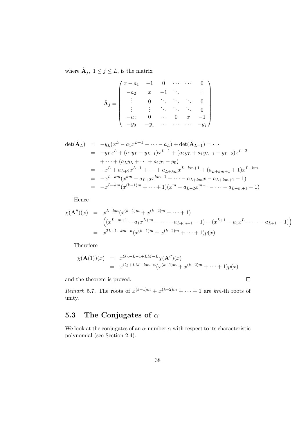where  $\hat{\mathbf{A}}_j, 1 \leq j \leq L$ , is the matrix

$$
\hat{\mathbf{A}}_{j} = \begin{pmatrix} x - a_{1} & -1 & 0 & \cdots & \cdots & 0 \\ -a_{2} & x & -1 & \ddots & & \vdots \\ \vdots & 0 & \ddots & \ddots & \ddots & 0 \\ \vdots & \vdots & \ddots & \ddots & \ddots & 0 \\ -a_{j} & 0 & \cdots & 0 & x & -1 \\ -y_{0} & -y_{1} & \cdots & \cdots & \cdots & -y_{j} \end{pmatrix}
$$

$$
\begin{array}{rcl}\n\det(\hat{\mathbf{A}}_L) & = & -y_L(x^L - a_1x^{L-1} - \dots - a_L) + \det(\hat{\mathbf{A}}_{L-1}) = \dots \\
& = & -y_Lx^L + (a_1y_L - y_{L-1})x^{L-1} + (a_2y_L + a_1y_{L-1} - y_{L-2})x^{L-2} \\
& + \dots + (a_Ly_L + \dots + a_1y_1 - y_0) \\
& = & -x^L + a_{L+2}x^{L-1} + \dots + a_{L+km}x^{L-km+1} + (a_{L+km+1} + 1)x^{L-km} \\
& = & -x^{L-km}(x^{km} - a_{L+2}x^{km-1} - \dots - a_{L+km}x - a_{L+km+1} - 1) \\
& = & -x^{L-km}(x^{(k-1)m} + \dots + 1)(x^m - a_{L+2}x^{m-1} - \dots - a_{L+m+1} - 1)\n\end{array}
$$

Hence

$$
\chi(\mathbf{A}'')(x) = x^{L-km} (x^{(k-1)m} + x^{(k-2)m} + \dots + 1)
$$
  
\n
$$
\left( (x^{L+m+1} - a_1 x^{L+m} - \dots - a_{L+m+1} - 1) - (x^{L+1} - a_1 x^{L} - \dots - a_{L+1} - 1) \right)
$$
  
\n
$$
= x^{2L+1-km-n} (x^{(k-1)m} + x^{(k-2)m} + \dots + 1)p(x)
$$

 $\Box$ 

Therefore

$$
\chi(\mathbf{A}(1))(x) = x^{G_L - L - 1 + LM - L} \chi(\mathbf{A}'')(x)
$$
  
=  $x^{G_L + LM - km - n} (x^{(k-1)m} + x^{(k-2)m} + \dots + 1)p(x)$ 

and the theorem is proved.

Remark 5.7. The roots of  $x^{(k-1)m} + x^{(k-2)m} + \cdots + 1$  are km-th roots of unity.

### 5.3 The Conjugates of  $\alpha$

We look at the conjugates of an  $\alpha$ -number  $\alpha$  with respect to its characteristic polynomial (see Section 2.4).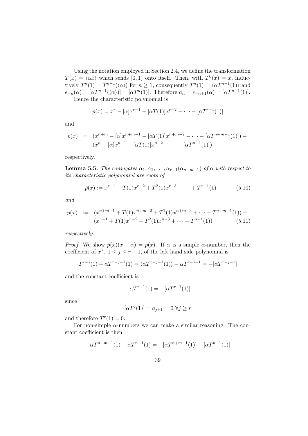Using the notation employed in Section 2.4, we define the transformation  $T(x) = \langle \alpha x \rangle$  which sends [0, 1) onto itself. Then, with  $T^{0}(x) = x$ , inductively  $T^n(1) = T^{n-1}(\langle \alpha \rangle)$  for  $n \geq 1$ , consequently  $T^n(1) = \langle \alpha T^{n-1}(1) \rangle$  and  $\epsilon_{-n}(\alpha) = [\alpha T^{n-1}(\langle \alpha \rangle)] = [\alpha T^n(1)].$  Therefore  $a_n = \epsilon_{-n+1}(\alpha) = [\alpha T^{n-1}(1)].$ Hence the characteristic polynomial is

$$
p(x) = x^r - [\alpha]x^{r-1} - [\alpha T(1)]x^{r-2} - \dots - [\alpha T^{r-1}(1)]
$$

and

$$
p(x) = (x^{n+m} - [\alpha]x^{n+m-1} - [\alpha T(1)]x^{n+m-2} - \dots - [\alpha T^{n+m-1}(1)]) -
$$

$$
(x^n - [\alpha]x^{n-1} - [\alpha T(1)]x^{n-2} - \dots - [\alpha T^{n-1}(1)])
$$

respectively.

**Lemma 5.5.** The conjugates  $\alpha_1, \alpha_2, \ldots, \alpha_{r-1}(\alpha_{n+m-1})$  of  $\alpha$  with respect to its characteristic polynomial are roots of

$$
\bar{p}(x) := x^{r-1} + T(1)x^{r-2} + T^2(1)x^{r-3} + \dots + T^{r-1}(1)
$$
\n(5.10)

and

$$
\bar{p}(x) := (x^{n+m-1} + T(1)x^{n+m-2} + T^2(1)x^{n+m-3} + \dots + T^{n+m-1}(1)) - (x^{n-1} + T(1)x^{n-2} + T^2(1)x^{n-3} + \dots + T^{n-1}(1)) \tag{5.11}
$$

respectively.

*Proof.* We show  $\bar{p}(x)(x - \alpha) = p(x)$ . If  $\alpha$  is a simple  $\alpha$ -number, then the coefficient of  $x^j$ ,  $1 \le j \le r-1$ , of the left hand side polynomial is

$$
T^{r-j}(1) - \alpha T^{r-j-1}(1) = \langle \alpha T^{r-j-1}(1) \rangle - \alpha T^{r-j-1} = -[\alpha T^{r-j-1}]
$$

and the constant coefficient is

$$
-\alpha T^{r-1}(1) = -[\alpha T^{r-1}(1)]
$$

since

$$
[\alpha T^j(1)] = a_{j+1} = 0 \,\,\forall j \geq r
$$

and therefore  $T<sup>r</sup>(1) = 0$ .

For non-simple  $\alpha$ -numbers we can make a similar reasoning. The constant coefficient is then

$$
-\alpha T^{n+m-1}(1) + \alpha T^{n-1}(1) = -[\alpha T^{n+m-1}(1)] + [\alpha T^{n-1}(1)]
$$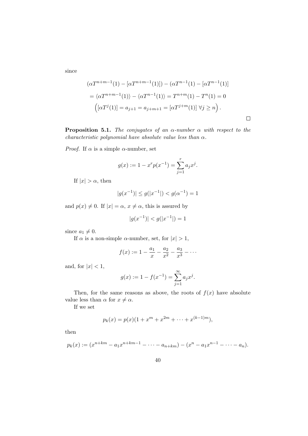since

$$
(\alpha T^{n+m-1}(1) - [\alpha T^{n+m-1}(1)]) - (\alpha T^{n-1}(1) - [\alpha T^{n-1}(1)]
$$
  
=  $\langle \alpha T^{n+m-1}(1) \rangle - \langle \alpha T^{n-1}(1) \rangle = T^{n+m}(1) - T^n(1) = 0$   

$$
([\alpha T^j(1)] = a_{j+1} = a_{j+m+1} = [\alpha T^{j+m}(1)] \ \forall j \ge n \ .
$$

**Proposition 5.1.** The conjugates of an  $\alpha$ -number  $\alpha$  with respect to the characteristic polynomial have absolute value less than  $\alpha$ .

*Proof.* If  $\alpha$  is a simple  $\alpha$ -number, set

$$
g(x) := 1 - x^r p(x^{-1}) = \sum_{j=1}^r a_j x^j.
$$

If  $|x| > \alpha$ , then

$$
|g(x^{-1})| \le g(|x^{-1}|) < g(\alpha^{-1}) = 1
$$

and  $p(x) \neq 0$ . If  $|x| = \alpha$ ,  $x \neq \alpha$ , this is assured by

$$
|g(x^{-1})| < g(|x^{-1}|) = 1
$$

since  $a_1 \neq 0$ .

If  $\alpha$  is a non-simple  $\alpha$ -number, set, for  $|x| > 1$ ,

$$
f(x) := 1 - \frac{a_1}{x} - \frac{a_2}{x^2} - \frac{a_3}{x^3} - \dots
$$

and, for  $|x| < 1$ ,

$$
g(x) := 1 - f(x^{-1}) = \sum_{j=1}^{\infty} a_j x^j.
$$

Then, for the same reasons as above, the roots of  $f(x)$  have absolute value less than  $\alpha$  for  $x \neq \alpha$ .

If we set

$$
p_k(x) = p(x)(1 + x^m + x^{2m} + \dots + x^{(k-1)m}),
$$

then

$$
p_k(x) := (x^{n+km} - a_1 x^{n+km-1} - \dots - a_{n+km}) - (x^n - a_1 x^{n-1} - \dots - a_n).
$$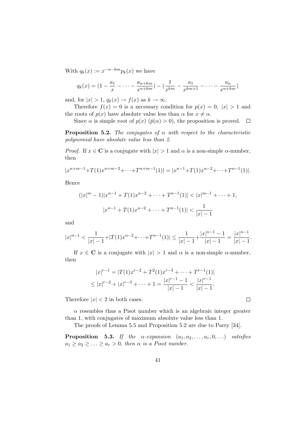With  $q_k(x) := x^{-n-km} p_k(x)$  we have

$$
q_k(x) = \left(1 - \frac{a_1}{x} - \dots - \frac{a_{n+km}}{x^{n+km}}\right) - \left(\frac{1}{x^{km}} - \frac{a_1}{x^{km+1}} - \dots - \frac{a_n}{x^{n+km}}\right)
$$

and, for  $|x| > 1$ ,  $q_k(x) \rightarrow f(x)$  as  $k \rightarrow \infty$ .

Therefore  $f(x) = 0$  is a necessary condition for  $p(x) = 0$ ,  $|x| > 1$  and the roots of  $p(x)$  have absolute value less than  $\alpha$  for  $x \neq \alpha$ .

Since  $\alpha$  is simple root of  $p(x)$  ( $\bar{p}(\alpha) > 0$ ), the proposition is proved.  $\Box$ 

**Proposition 5.2.** The conjugates of  $\alpha$  with respect to the characteristic polynomial have absolute value less than 2.

*Proof.* If  $x \in \mathbb{C}$  is a conjugate with  $|x| > 1$  and  $\alpha$  is a non-simple  $\alpha$ -number, then

$$
|x^{n+m-1}+T(1)x^{n+m-2}+\cdots+T^{n+m-1}(1)|=|x^{n-1}+T(1)x^{n-2}+\cdots+T^{n-1}(1)|.
$$

Hence

$$
(|x|^m - 1)|x^{n-1} + T(1)x^{n-2} + \dots + T^{n-1}(1)| < |x|^{m-1} + \dots + 1,
$$
  

$$
|x^{n-1} + T(1)x^{n-2} + \dots + T^{n-1}(1)| < \frac{1}{|x| - 1}
$$

and

$$
|x|^{n-1} < \frac{1}{|x|-1} + |T(1)x^{n-2} + \dots + T^{n-1}(1)| \le \frac{1}{|x|-1} + \frac{|x|^{n-1} - 1}{|x|-1} = \frac{|x|^{n-1}}{|x|-1}.
$$

If  $x \in \mathbb{C}$  is a conjugate with  $|x| > 1$  and  $\alpha$  is a non-simple  $\alpha$ -number, then

$$
|x|^{r-1} = |T(1)x^{r-2} + T^2(1)x^{r-3} + \dots + T^{r-1}(1)|
$$
  
\n
$$
\leq |x|^{r-2} + |x|^{r-3} + \dots + 1 = \frac{|x|^{r-1} - 1}{|x| - 1} < \frac{|x|^{r-1}}{|x| - 1}.
$$

Therefore  $|x| < 2$  in both cases.

 $\alpha$  resembles thus a Pisot number which is an algebraic integer greater than 1, with conjugates of maximum absolute value less than 1.

The proofs of Lemma 5.5 and Proposition 5.2 are due to Parry [34].

**Proposition 5.3.** If the  $\alpha$ -expansion  $(a_1, a_2, \ldots, a_r, 0, \ldots)$  satisfies  $a_1 \ge a_2 \ge \ldots \ge a_r > 0$ , then  $\alpha$  is a Pisot number.

 $\Box$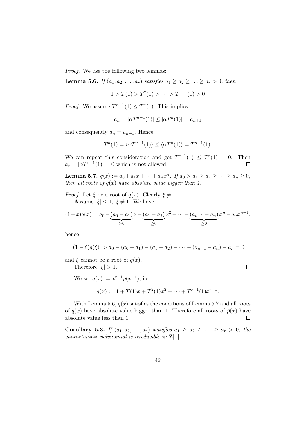Proof. We use the following two lemmas:

**Lemma 5.6.** If  $(a_1, a_2, \ldots, a_r)$  satisfies  $a_1 \geq a_2 \geq \ldots \geq a_r > 0$ , then

$$
1 > T(1) > T^2(1) > \cdots > T^{r-1}(1) > 0
$$

*Proof.* We assume  $T^{n-1}(1) \leq T^n(1)$ . This implies

$$
a_n = [\alpha T^{n-1}(1)] \le [\alpha T^n(1)] = a_{n+1}
$$

and consequently  $a_n = a_{n+1}$ . Hence

$$
T^{n}(1) = \langle \alpha T^{n-1}(1) \rangle \le \langle \alpha T^{n}(1) \rangle = T^{n+1}(1).
$$

We can repeat this consideration and get  $T^{r-1}(1) \leq T^{r}(1) = 0$ . Then  $a_r = [\alpha T^{r-1}(1)] = 0$  which is not allowed.  $\Box$ 

Lemma 5.7.  $q(z) := a_0 + a_1 x + \cdots + a_n x^n$ . If  $a_0 > a_1 \ge a_2 \ge \cdots \ge a_n \ge 0$ , then all roots of  $q(x)$  have absolute value bigger than 1.

*Proof.* Let  $\xi$  be a root of  $q(x)$ . Clearly  $\xi \neq 1$ . Assume  $|\xi| \leq 1$ ,  $\xi \neq 1$ . We have

$$
(1-x)q(x) = a_0 - \underbrace{(a_0 - a_1)}_{>0}x - \underbrace{(a_1 - a_2)}_{\geq 0}x^2 - \dots - \underbrace{(a_{n-1} - a_n)}_{\geq 0}x^n - a_n x^{n+1},
$$

hence

$$
|(1-\xi)q(\xi)|>a_0-(a_0-a_1)-(a_1-a_2)-\cdots-(a_{n-1}-a_n)-a_n=0
$$

 $\Box$ 

and  $\xi$  cannot be a root of  $q(x)$ .

Therefore  $|\xi| > 1$ .

We set  $q(x) := x^{r-1} \bar{p}(x^{-1}),$  i.e.

$$
q(x) := 1 + T(1)x + T^{2}(1)x^{2} + \dots + T^{r-1}(1)x^{r-1}.
$$

With Lemma 5.6,  $q(x)$  satisfies the conditions of Lemma 5.7 and all roots of  $q(x)$  have absolute value bigger than 1. Therefore all roots of  $\bar{p}(x)$  have absolute value less than 1.  $\Box$ 

Corollary 5.3. If  $(a_1, a_2, \ldots, a_r)$  satisfies  $a_1 \geq a_2 \geq \ldots \geq a_r > 0$ , the *characteristic polynomial is irreducible in*  $\mathbf{Z}[x]$ *.*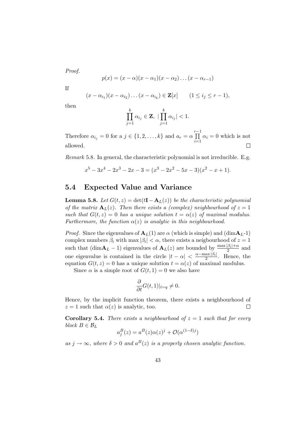Proof.

$$
p(x) = (x - \alpha)(x - \alpha_1)(x - \alpha_2)\dots(x - \alpha_{r-1})
$$

If

$$
(x - \alpha_{i_1})(x - \alpha_{i_2}) \dots (x - \alpha_{i_k}) \in \mathbf{Z}[x] \qquad (1 \le i_j \le r - 1),
$$

then

$$
\prod_{j=1}^k \alpha_{i_j} \in \mathbf{Z},\ |\prod_{j=1}^k \alpha_{i_j}| < 1.
$$

Therefore  $\alpha_{i_j} = 0$  for a  $j \in \{1, 2, ..., k\}$  and  $a_r = \alpha \prod^{r-1}$  $\prod_{i=1} \alpha_i = 0$  which is not allowed.  $\Box$ 

Remark 5.8. In general, the characteristic polynomial is not irreducible. E.g.

$$
x^{5}-3x^{4}-2x^{3}-2x-3=(x^{3}-2x^{2}-5x-3)(x^{2}-x+1).
$$

### 5.4 Expected Value and Variance

**Lemma 5.8.** Let  $G(t, z) = \det(t\mathbf{I} - \mathbf{A}_L(z))$  be the characteristic polynomial of the matrix  $\mathbf{A}_L(z)$ . Then there exists a (complex) neighbourhood of  $z = 1$ such that  $G(t, z) = 0$  has a unique solution  $t = \alpha(z)$  of maximal modulus. Furthermore, the function  $\alpha(z)$  is analytic in this neighbourhood.

*Proof.* Since the eigenvalues of  $A_L(1)$  are  $\alpha$  (which is simple) and  $(\dim A_L-1)$ complex numbers  $\beta_i$  with max  $|\beta_i| < \alpha$ , there exists a neigbourhood of  $z = 1$ such that  $(\dim \mathbf{A}_L - 1)$  eigenvalues of  $\mathbf{A}_L(z)$  are bounded by  $\frac{\max|\beta_i| + \alpha}{2}$  and one eigenvalue is contained in the circle  $|t - \alpha| < \frac{\alpha - \max|\beta_i|}{2}$  $\frac{\text{ax }|\rho_i|}{2}$ . Hence, the equation  $G(t, z) = 0$  has a unique solution  $t = \alpha(z)$  of maximal modulus.

Since  $\alpha$  is a simple root of  $G(t, 1) = 0$  we also have

$$
\frac{\partial}{\partial t}G(t,1)|_{t=q}\neq 0.
$$

Hence, by the implicit function theorem, there exists a neighbourhood of  $z = 1$  such that  $\alpha(z)$  is analytic, too.  $\Box$ 

**Corollary 5.4.** There exists a neighbourhood of  $z = 1$  such that for every block  $B \in \mathcal{B}_L$ 

$$
a_j^B(z) = a^B(z)\alpha(z)^j + \mathcal{O}(\alpha^{(1-\delta)j})
$$

as  $j \to \infty$ , where  $\delta > 0$  and  $a^B(z)$  is a properly chosen analytic function.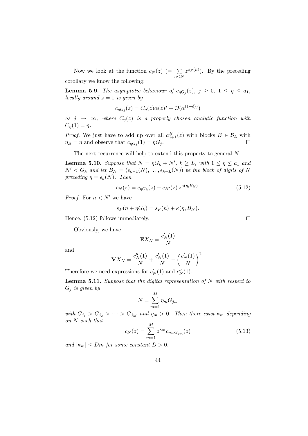Now we look at the function  $c_N(z)$  (=  $\sum_{n \le N}$  $z^{s_F(n)}$ ). By the preceding corollary we know the following:

**Lemma 5.9.** The asymptotic behaviour of  $c_{\eta G_j}(z)$ ,  $j \geq 0$ ,  $1 \leq \eta \leq a_1$ , locally around  $z = 1$  is given by

$$
c_{\eta G_j}(z) = C_{\eta}(z)\alpha(z)^j + \mathcal{O}(\alpha^{(1-\delta)j})
$$

as  $j \rightarrow \infty$ , where  $C_n(z)$  is a properly chosen analytic function with  $C_n(1) = \eta$ .

*Proof.* We just have to add up over all  $a_{j+1}^B(z)$  with blocks  $B \in \mathcal{B}_L$  with  $\eta_B = \eta$  and observe that  $c_{\eta G_j}(1) = \eta G_j$ .  $\Box$ 

The next recurrence will help to extend this property to general N.

**Lemma 5.10.** Suppose that  $N = \eta G_k + N'$ ,  $k \ge L$ , with  $1 \le \eta \le a_1$  and  $N' < G_k$  and let  $B_N = (\epsilon_{k-1}(N), \ldots, \epsilon_{k-L}(N))$  be the block of digits of N preceding  $\eta = \epsilon_k(N)$ . Then

$$
c_N(z) = c_{\eta G_k}(z) + c_{N'}(z) z^{\kappa(\eta, B_N)}.
$$
\n(5.12)

*Proof.* For  $n < N'$  we have

$$
s_F(n + \eta G_k) = s_F(n) + \kappa(\eta, B_N).
$$

Hence, (5.12) follows immediately.

Obviously, we have

$$
\mathbf{E} X_N = \frac{c_N'(1)}{N}
$$

and

$$
\mathbf{V}X_N = \frac{c_N''(1)}{N} + \frac{c_N'(1)}{N} - \left(\frac{c_N'(1)}{N}\right)^2.
$$

Therefore we need expressions for  $c'_{N}(1)$  and  $c''_{N}(1)$ .

**Lemma 5.11.** Suppose that the digital representation of  $N$  with respect to  $G_j$  is given by

$$
N = \sum_{m=1}^{M} \eta_m G_{j_m}
$$

with  $G_{j_1} > G_{j_2} > \cdots > G_{j_M}$  and  $\eta_m > 0$ . Then there exist  $\kappa_m$  depending on N such that

$$
c_N(z) = \sum_{m=1}^{M} z^{\kappa_m} c_{\eta_m} c_{j_m}(z)
$$
\n(5.13)

and  $|\kappa_m| \leq Dm$  for some constant  $D > 0$ .

 $\Box$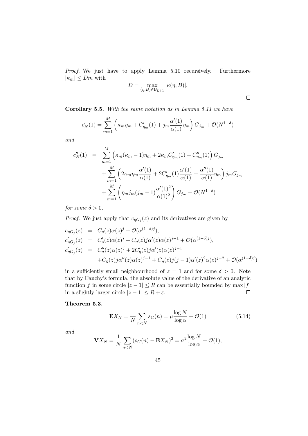Proof. We just have to apply Lemma 5.10 recursively. Furthermore  $|\kappa_m| \leq Dm$  with

$$
D = \max_{(\eta,B)\in \mathcal{B}_{L+1}} |\kappa(\eta,B)|.
$$

 $\Box$ 

Corollary 5.5. With the same notation as in Lemma 5.11 we have

$$
c'_{N}(1) = \sum_{m=1}^{M} \left( \kappa_m \eta_m + C'_{\eta_m}(1) + j_m \frac{\alpha'(1)}{\alpha(1)} \eta_m \right) G_{j_m} + \mathcal{O}(N^{1-\delta})
$$

and

$$
c''_N(1) = \sum_{m=1}^M \left( \kappa_m (\kappa_m - 1) \eta_m + 2 \kappa_m C'_{\eta_m}(1) + C''_{\eta_m}(1) \right) G_{j_m}
$$
  
+ 
$$
\sum_{m=1}^M \left( 2 \kappa_m \eta_m \frac{\alpha'(1)}{\alpha(1)} + 2 C'_{\eta_m}(1) \frac{\alpha'(1)}{\alpha(1)} + \frac{\alpha''(1)}{\alpha(1)} \eta_m \right) j_m G_{j_m}
$$
  
+ 
$$
\sum_{m=1}^M \left( \eta_m j_m (j_m - 1) \frac{\alpha'(1)^2}{\alpha(1)^2} \right) G_{j_m} + \mathcal{O}(N^{1-\delta})
$$

for some  $\delta > 0$ .

*Proof.* We just apply that  $c_{\eta G_j}(z)$  and its derivatives are given by

$$
c_{\eta G_j}(z) = C_{\eta}(z)\alpha(z)^j + \mathcal{O}(\alpha^{(1-\delta)j}),
$$
  
\n
$$
c'_{\eta G_j}(z) = C'_{\eta}(z)\alpha(z)^j + C_{\eta}(z)j\alpha'(z)\alpha(z)^{j-1} + \mathcal{O}(\alpha^{(1-\delta)j}),
$$
  
\n
$$
c'_{\eta G_j}(z) = C''_{\eta}(z)\alpha(z)^j + 2C'_{\eta}(z)j\alpha'(z)\alpha(z)^{j-1} + C_{\eta}(z)j(\gamma^{1-\delta})
$$
  
\n
$$
+ C_{\eta}(z)j\alpha''(z)\alpha(z)^{j-1} + C_{\eta}(z)j(j-1)\alpha'(z)^2\alpha(z)^{j-2} + \mathcal{O}(\alpha^{(1-\delta)j})
$$

in a sufficiently small neighbourhood of  $z = 1$  and for some  $\delta > 0$ . Note that by Cauchy's formula, the absolute value of the derivative of an analytic function f in some circle  $|z - 1| \leq R$  can be essentially bounded by max |f| in a slightly larger circle  $|z - 1| \le R + \varepsilon$ .  $\Box$ 

#### Theorem 5.3.

$$
\mathbf{E}X_N = \frac{1}{N} \sum_{n < N} s_G(n) = \mu \frac{\log N}{\log \alpha} + \mathcal{O}(1) \tag{5.14}
$$

and

$$
\mathbf{V}X_N = \frac{1}{N} \sum_{n < N} (s_G(n) - \mathbf{E}X_N)^2 = \sigma^2 \frac{\log N}{\log \alpha} + \mathcal{O}(1),
$$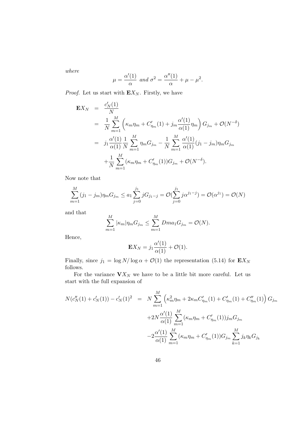where

$$
\mu = \frac{\alpha'(1)}{\alpha} \text{ and } \sigma^2 = \frac{\alpha''(1)}{\alpha} + \mu - \mu^2.
$$

*Proof.* Let us start with  $\mathbf{E}X_N$ . Firstly, we have

$$
\mathbf{E}X_N = \frac{c'_N(1)}{N}
$$
  
=  $\frac{1}{N} \sum_{m=1}^M \left( \kappa_m \eta_m + C'_{\eta_m}(1) + j_m \frac{\alpha'(1)}{\alpha(1)} \eta_m \right) G_{j_m} + \mathcal{O}(N^{-\delta})$   
=  $j_1 \frac{\alpha'(1)}{\alpha(1)} \frac{1}{N} \sum_{m=1}^M \eta_m G_{j_m} - \frac{1}{N} \sum_{m=1}^M \frac{\alpha'(1)}{\alpha(1)} (j_1 - j_m) \eta_m G_{j_m}$   
+  $\frac{1}{N} \sum_{m=1}^M (\kappa_m \eta_m + C'_{\eta_m}(1)) G_{j_m} + \mathcal{O}(N^{-\delta}).$ 

Now note that

$$
\sum_{m=1}^{M} (j_1 - j_m) \eta_m G_{j_m} \le a_1 \sum_{j=0}^{j_1} j G_{j_1-j} = \mathcal{O}(\sum_{j=0}^{j_1} j \alpha^{j_1-j}) = \mathcal{O}(\alpha^{j_1}) = \mathcal{O}(N)
$$

and that

$$
\sum_{m=1}^{M} |\kappa_m|\eta_m G_{j_m} \le \sum_{m=1}^{M} Dma_1 G_{j_m} = \mathcal{O}(N).
$$

Hence,

$$
\mathbf{E}X_N = j_1 \frac{\alpha'(1)}{\alpha(1)} + \mathcal{O}(1).
$$

Finally, since  $j_1 = \log N/\log \alpha + \mathcal{O}(1)$  the representation (5.14) for  $\mathbf{E}X_N$ follows.

For the variance  $\mathbf{V} X_N$  we have to be a little bit more careful. Let us start with the full expansion of

$$
N(c_N''(1) + c_N'(1)) - c_N'(1)^2 = N \sum_{m=1}^M \left( \kappa_m^2 \eta_m + 2 \kappa_m C_{\eta_m}'(1) + C_{\eta_m}'(1) + C_{\eta_m}''(1) \right) G_{j_m}
$$
  
+2N  $\frac{\alpha'(1)}{\alpha(1)} \sum_{m=1}^M (\kappa_m \eta_m + C_{\eta_m}'(1)) j_m G_{j_m}$   
-2 $\frac{\alpha'(1)}{\alpha(1)} \sum_{m=1}^M (\kappa_m \eta_m + C_{\eta_m}'(1)) G_{j_m} \sum_{k=1}^M j_k \eta_k G_{j_k}$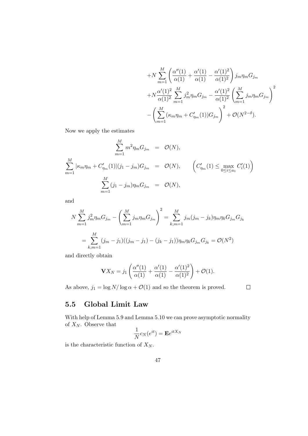$$
+N\sum_{m=1}^{M} \left(\frac{\alpha''(1)}{\alpha(1)} + \frac{\alpha'(1)}{\alpha(1)} - \frac{\alpha'(1)^2}{\alpha(1)^2}\right) j_m \eta_m G_{j_m}
$$
  
+
$$
N\frac{\alpha'(1)^2}{\alpha(1)^2} \sum_{m=1}^{M} j_m^2 \eta_m G_{j_m} - \frac{\alpha'(1)^2}{\alpha(1)^2} \left(\sum_{m=1}^{M} j_m \eta_m G_{j_m}\right)^2
$$
  
-
$$
\left(\sum_{m=1}^{M} (\kappa_m \eta_m + C'_{\eta_m}(1)) G_{j_m}\right)^2 + \mathcal{O}(N^{2-\delta}).
$$

Now we apply the estimates

$$
\sum_{m=1}^{M} m^2 \eta_m G_{j_m} = \mathcal{O}(N),
$$
\n
$$
\sum_{m=1}^{M} |\kappa_m \eta_m + C'_{\eta_m}(1)| (j_1 - j_m) G_{j_m} = \mathcal{O}(N), \qquad \left( C'_{\eta_m}(1) \le \max_{0 \le i \le a_1} C'_i(1) \right)
$$
\n
$$
\sum_{m=1}^{M} (j_1 - j_m) \eta_m G_{j_m} = \mathcal{O}(N),
$$

and

$$
N\sum_{m=1}^{M} j_m^2 \eta_m G_{j_m} - \left(\sum_{m=1}^{M} j_m \eta_m G_{j_m}\right)^2 = \sum_{k,m=1}^{M} j_m (j_m - j_k) \eta_m \eta_k G_{j_m} G_{j_k}
$$
  
= 
$$
\sum_{k,m=1}^{M} (j_m - j_1)((j_m - j_1) - (j_k - j_1)) \eta_m \eta_k G_{j_m} G_{j_k} = \mathcal{O}(N^2)
$$

and directly obtain

$$
\mathbf{V}X_N = j_1 \left( \frac{\alpha''(1)}{\alpha(1)} + \frac{\alpha'(1)}{\alpha(1)} - \frac{\alpha'(1)^2}{\alpha(1)^2} \right) + \mathcal{O}(1).
$$

As above,  $j_1 = \log N / \log \alpha + \mathcal{O}(1)$  and so the theorem is proved.

 $\Box$ 

### 5.5 Global Limit Law

With help of Lemma 5.9 and Lemma 5.10 we can prove asymptotic normality of  $X_N$ . Observe that

$$
\frac{1}{N}c_N(e^{it}) = \mathbf{E}e^{itX_N}
$$

is the characteristic function of  $X_N$ .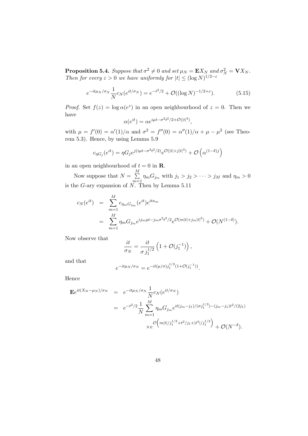**Proposition 5.4.** Suppose that  $\sigma^2 \neq 0$  and set  $\mu_N = \mathbf{E} X_N$  and  $\sigma_N^2 = \mathbf{V} X_N$ . Then for every  $\varepsilon > 0$  we have uniformly for  $|t| \leq (\log N)^{1/2 - \varepsilon}$ 

$$
e^{-it\mu_N/\sigma_N} \frac{1}{N} c_N(e^{it/\sigma_N}) = e^{-t^2/2} + \mathcal{O}((\log N)^{-1/2+\varepsilon}).\tag{5.15}
$$

*Proof.* Set  $f(z) = \log \alpha(e^z)$  in an open neighbourhood of  $z = 0$ . Then we have

$$
\alpha(e^{it}) = \alpha e^{i\mu t - \sigma^2 t^2 / 2 + \mathcal{O}(|t|^3)},
$$

with  $\mu = f'(0) = \alpha'(1)/\alpha$  and  $\sigma^2 = f''(0) = \alpha''(1)/\alpha + \mu - \mu^2$  (see Theorem 5.3). Hence, by using Lemma 5.9

$$
c_{\eta G_j}(e^{it}) = \eta G_j e^{j(i\mu t - \sigma^2 t^2/2)} e^{\mathcal{O}(|t| + j|t|^3)} + \mathcal{O}\left(\alpha^{(1-\delta)j}\right)
$$

in an open neighbourhood of  $t = 0$  in **R**.

Now suppose that  $N = \sum$ M  $\sum_{m=1}^{N} \eta_m G_{j_m}$  with  $j_1 > j_2 > \cdots > j_M$  and  $\eta_m > 0$ is the G-ary expansion of  $N$ . Then by Lemma 5.11

$$
c_N(e^{it}) = \sum_{m=1}^{M} c_{\eta_m G_{j_m}}(e^{it})e^{it\kappa_m}
$$
  
= 
$$
\sum_{m=1}^{M} \eta_m G_{j_m}e^{ij_m\mu t - j_m \sigma^2 t^2/2}e^{\mathcal{O}(m|t| + j_m|t|^3)} + \mathcal{O}(N^{(1-\delta)}).
$$

Now observe that

$$
\frac{it}{\sigma_N} = \frac{it}{\sigma j_1^{1/2}} \left( 1 + \mathcal{O}(j_1^{-1}) \right),\,
$$

and that

$$
e^{-it\mu_N/\sigma_N} = e^{-it(\mu/\sigma)j_1^{1/2}(1+\mathcal{O}(j_1^{-1}))}.
$$

Hence

$$
\mathbf{E}e^{it(X_N - \mu_N)/\sigma_N} = e^{-it\mu_N/\sigma_N} \frac{1}{N} c_N(e^{it/\sigma_N})
$$
  
=  $e^{-t^2/2} \frac{1}{N} \sum_{m=1}^M \eta_m G_{j_m} e^{it(j_m - j_1)/(\sigma_{j_1}^{1/2}) - (j_m - j_1)t^2/(2j_1)}$   
× $e^{\mathcal{O}\left(m|t|/j_1^{1/2} + t^2/j_1 + |t^3|/j_1^{1/2}\right)} + \mathcal{O}(N^{-\delta}).$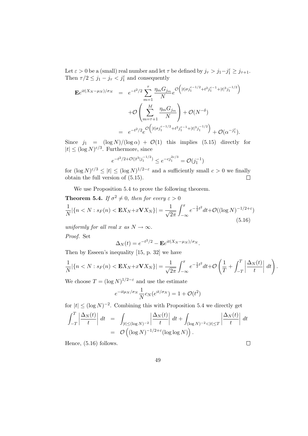Let  $\varepsilon > 0$  be a (small) real number and let  $\tau$  be defined by  $j_{\tau} > j_1 - j_1^{\varepsilon} \ge j_{\tau+1}$ . Then  $\tau/2 \leq j_1 - j_\tau < j_1^{\varepsilon}$  and consequently

$$
\mathbf{E}e^{it(X_N - \mu_N)/\sigma_N} = e^{-t^2/2} \sum_{m=1}^{\tau} \frac{\eta_m G_{j_m}}{N} e^{\mathcal{O}\left(|t|\sigma j_1^{\varepsilon - 1/2} + t^2 j_1^{\varepsilon - 1} + |t|^3 j_1^{-1/2}\right)} + \mathcal{O}\left(\sum_{m=\tau+1}^{M} \frac{\eta_m G_{j_m}}{N}\right) + \mathcal{O}(N^{-\delta})
$$
  
=  $e^{-t^2/2} e^{\mathcal{O}\left(|t|\sigma j_1^{\varepsilon - 1/2} + t^2 j_1^{\varepsilon - 1} + |t|^3 j_1^{-1/2}\right)} + \mathcal{O}(\alpha^{-j_1^{\varepsilon}}).$ 

Since  $j_1 = (\log N)/(\log \alpha) + \mathcal{O}(1)$  this implies (5.15) directly for  $|t| \leq (\log N)^{\varepsilon/3}$ . Furthermore, since

$$
e^{-t^2/2 + \mathcal{O}(|t^3|j_1^{-1/2})} \le e^{-cj_1^{2\varepsilon/3}} = \mathcal{O}(j_1^{-1})
$$

for  $(\log N)^{\varepsilon/3} \leq |t| \leq (\log N)^{1/2-\varepsilon}$  and a sufficiently small  $c > 0$  we finally obtain the full version of (5.15).  $\Box$ 

We use Proposition 5.4 to prove the following theorem.

**Theorem 5.4.** If 
$$
\sigma^2 \neq 0
$$
, then for every  $\varepsilon > 0$   
\n
$$
\frac{1}{N} |\{n < N : s_F(n) < \mathbf{E}X_N + x\mathbf{V}X_N\}| = \frac{1}{\sqrt{2\pi}} \int_{-\infty}^x e^{-\frac{1}{2}t^2} dt + \mathcal{O}((\log N)^{-1/2+\varepsilon})
$$
\n(5.16)

uniformly for all real x as  $N \to \infty$ .

Proof. Set

$$
\Delta_N(t) = e^{-t^2/2} - \mathbf{E}e^{it(X_N - \mu_N)/\sigma_N}.
$$

Then by Esseen's inequality [15, p. 32] we have

$$
\frac{1}{N}|\{n < N : s_F(n) < \mathbf{E}X_N + x\mathbf{V}X_N\}| = \frac{1}{\sqrt{2\pi}}\int_{-\infty}^x e^{-\frac{1}{2}t^2}dt + \mathcal{O}\left(\frac{1}{T} + \int_{-T}^T \left|\frac{\Delta_N(t)}{t}\right|dt\right).
$$

We choose  $T = (\log N)^{1/2-\epsilon}$  and use the estimate

$$
e^{-it\mu_N/\sigma_N}\frac{1}{N}c_N(e^{it/\sigma_N})=1+\mathcal{O}(t^2)
$$

for  $|t| \leq (\log N)^{-2}$ . Combining this with Proposition 5.4 we directly get

$$
\int_{-T}^{T} \left| \frac{\Delta_N(t)}{t} \right| dt = \int_{|t| \le (\log N)^{-2}} \left| \frac{\Delta_N(t)}{t} \right| dt + \int_{(\log N)^{-2} < |t| \le T} \left| \frac{\Delta_N(t)}{t} \right| dt
$$
\n
$$
= \mathcal{O}\left( (\log N)^{-1/2 + \varepsilon} (\log \log N) \right).
$$

Hence, (5.16) follows.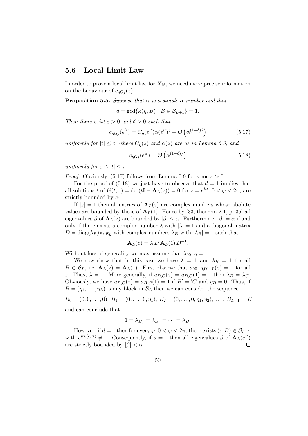### 5.6 Local Limit Law

In order to prove a local limit law for  $X_N$ , we need more precise information on the behaviour of  $c_{\eta G_j}(z)$ .

**Proposition 5.5.** Suppose that  $\alpha$  is a simple  $\alpha$ -number and that

 $d = \gcd{\kappa(\eta, B) : B \in \mathcal{B}_{L+1}\} = 1.$ 

Then there exist  $\varepsilon > 0$  and  $\delta > 0$  such that

$$
c_{\eta G_j}(e^{it}) = C_{\eta}(e^{it})\alpha(e^{it})^j + \mathcal{O}\left(\alpha^{(1-\delta)j}\right)
$$
\n(5.17)

uniformly for  $|t| \leq \varepsilon$ , where  $C_n(z)$  and  $\alpha(z)$  are as in Lemma 5.9, and

$$
c_{\eta G_j}(e^{it}) = \mathcal{O}\left(\alpha^{(1-\delta)j}\right) \tag{5.18}
$$

uniformly for  $\varepsilon \leq |t| \leq \pi$ .

*Proof.* Obviously, (5.17) follows from Lemma 5.9 for some  $\varepsilon > 0$ .

For the proof of  $(5.18)$  we just have to observe that  $d = 1$  implies that all solutions t of  $G(t, z) = \det(t\mathbf{I} - \mathbf{A}_L(z)) = 0$  for  $z = e^{i\varphi}$ ,  $0 < \varphi < 2\pi$ , are strictly bounded by  $\alpha$ .

If  $|z|=1$  then all entries of  $\mathbf{A}_L(z)$  are complex numbers whose abolute values are bounded by those of  $A_L(1)$ . Hence by [33, theorem 2.1, p. 36] all eigenvalues  $\beta$  of  $\mathbf{A}_L(z)$  are bounded by  $|\beta| \leq \alpha$ . Furthermore,  $|\beta| = \alpha$  if and only if there exists a complex number  $\lambda$  with  $|\lambda| = 1$  and a diagonal matrix  $D = \text{diag}(\lambda_B)_{B \in \mathcal{B}_L}$  with complex numbers  $\lambda_B$  with  $|\lambda_B| = 1$  such that

$$
\mathbf{A}_L(z) = \lambda D \, \mathbf{A}_L(1) \, D^{-1}.
$$

Without loss of generality we may assume that  $\lambda_{00\cdots0} = 1$ .

We now show that in this case we have  $\lambda = 1$  and  $\lambda_B = 1$  for all  $B \in \mathcal{B}_L$ , i.e.  $\mathbf{A}_L(z) = \mathbf{A}_L(1)$ . First observe that  $a_{00\cdots0,00\cdots0}(z) = 1$  for all z. Thus,  $\lambda = 1$ . More generally, if  $a_{B,C}(z) = a_{B,C}(1) = 1$  then  $\lambda_B = \lambda_C$ . Obviously, we have  $a_{B,C}(z) = a_{B,C}(1) = 1$  if  $B' = 'C$  and  $\eta_B = 0$ . Thus, if  $B = (\eta_1, \dots, \eta_L)$  is any block in  $\mathcal{B}_L$  then we can consider the sequence

 $B_0 = (0, 0, \ldots, 0), B_1 = (0, \ldots, 0, \eta_1), B_2 = (0, \ldots, 0, \eta_1, \eta_2), \ldots, B_{L-1} = B$ and can conclude that

$$
1=\lambda_{B_0}=\lambda_{B_1}=\cdots=\lambda_B.
$$

However, if  $d = 1$  then for every  $\varphi$ ,  $0 < \varphi < 2\pi$ , there exists  $(\epsilon, B) \in \mathcal{B}_{L+1}$ with  $e^{it\kappa(\epsilon,B)} \neq 1$ . Consequently, if  $d=1$  then all eigenvalues  $\beta$  of  $\mathbf{A}_{L}(e^{it})$ are strictly bounded by  $|\beta| < \alpha$ .  $\Box$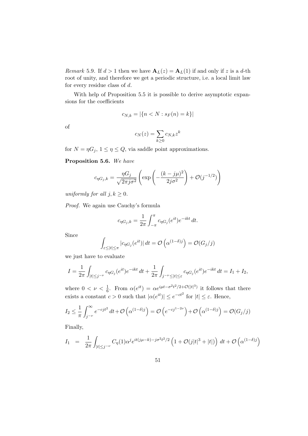*Remark* 5.9. If  $d > 1$  then we have  $\mathbf{A}_L(z) = \mathbf{A}_L(1)$  if and only if z is a d-th root of unity, and therefore we get a periodic structure, i.e. a local limit law for every residue class of d.

With help of Proposition 5.5 it is possible to derive asymptotic expansions for the coefficients

$$
c_{N,k} = |\{n < N : s_F(n) = k\}|
$$

of

$$
c_N(z) = \sum_{k \ge 0} c_{N,k} z^k
$$

for  $N = \eta G_j$ ,  $1 \leq \eta \leq Q$ , via saddle point approximations.

Proposition 5.6. We have

$$
c_{\eta G_j,k} = \frac{\eta G_j}{\sqrt{2\pi j \sigma^2}} \left( \exp\left(-\frac{(k-j\mu)^2}{2j\sigma^2}\right) + \mathcal{O}(j^{-1/2})\right)
$$

uniformly for all  $j, k \geq 0$ .

Proof. We again use Cauchy's formula

$$
c_{\eta G_j,k} = \frac{1}{2\pi} \int_{-\pi}^{\pi} c_{\eta G_j}(e^{it}) e^{-ikt} dt.
$$

Since

$$
\int_{\varepsilon \leq |t| \leq \pi} |c_{\eta G_j}(e^{it})| dt = \mathcal{O}\left(\alpha^{(1-\delta)j}\right) = \mathcal{O}(G_j/j)
$$

we just have to evaluate

$$
I = \frac{1}{2\pi} \int_{|t| \le j^{-\nu}} c_{\eta G_j}(e^{it}) e^{-ikt} dt + \frac{1}{2\pi} \int_{j^{-\nu} \le |t| \le \varepsilon} c_{\eta G_j}(e^{it}) e^{-ikt} dt = I_1 + I_2,
$$

where  $0 < \nu < \frac{1}{6}$ . From  $\alpha(e^{it}) = \alpha e^{i\mu t - \sigma^2 t^2/2 + \mathcal{O}(|t|^3)}$  it follows that there exists a constant  $c > 0$  such that  $|\alpha(e^{it})| \leq e^{-ct^2}$  for  $|t| \leq \varepsilon$ . Hence,

$$
I_2 \leq \frac{1}{\pi} \int_{j-\nu}^{\infty} e^{-cjt^2} dt + \mathcal{O}\left(\alpha^{(1-\delta)j}\right) = \mathcal{O}\left(e^{-cj^{1-2\nu}}\right) + \mathcal{O}\left(\alpha^{(1-\delta)j}\right) = \mathcal{O}(G_j/j)
$$

Finally,

$$
I_1 = \frac{1}{2\pi} \int_{|t| \le j^{-\nu}} C_{\eta}(1) \alpha^j e^{it(j\mu - k) - j\sigma^2 t^2/2} \left( 1 + \mathcal{O}(j|t|^3 + |t|) \right) dt + \mathcal{O}\left( \alpha^{(1-\delta)j} \right)
$$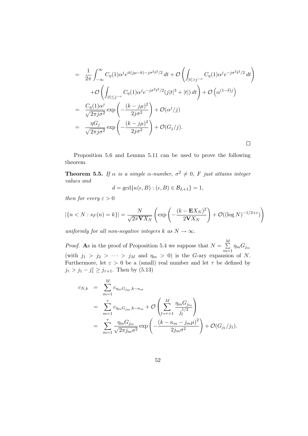$$
= \frac{1}{2\pi} \int_{-\infty}^{\infty} C_{\eta}(1) \alpha^{j} e^{it(j\mu - k) - j\sigma^{2}t^{2}/2} dt + \mathcal{O}\left(\int_{|t| > j^{-\nu}} C_{\eta}(1) \alpha^{j} e^{-j\sigma^{2}t^{2}/2} dt\right)
$$

$$
+ \mathcal{O}\left(\int_{|t| \leq j^{-\nu}} C_{\eta}(1) \alpha^{j} e^{-j\sigma^{2}t^{2}/2} (j|t|^{3} + |t|) dt\right) + \mathcal{O}\left(\alpha^{(1-\delta)j}\right)
$$

$$
= \frac{C_{\eta}(1) \alpha^{j}}{\sqrt{2\pi j \sigma^{2}}} \exp\left(-\frac{(k - j\mu)^{2}}{2j\sigma^{2}}\right) + \mathcal{O}(\alpha^{j}/j)
$$

$$
= \frac{\eta G_{j}}{\sqrt{2\pi j \sigma^{2}}} \exp\left(-\frac{(k - j\mu)^{2}}{2j\sigma^{2}}\right) + \mathcal{O}(G_{j}/j).
$$

Proposition 5.6 and Lemma 5.11 can be used to prove the following theorem.

**Theorem 5.5.** If  $\alpha$  is a simple  $\alpha$ -number,  $\sigma^2 \neq 0$ , F just attains integer values and

$$
d = \gcd\{\kappa(\epsilon, B) : (\epsilon, B) \in \mathcal{B}_{L+1}\} = 1,
$$

then for every  $\varepsilon > 0$ 

$$
|\{n < N : s_F(n) = k\}| = \frac{N}{\sqrt{2\pi \mathbf{V} X_N}} \left( \exp\left(-\frac{(k - \mathbf{E} X_N)^2}{2\mathbf{V} X_N}\right) + \mathcal{O}((\log N)^{-1/2 + \varepsilon})\right)
$$

uniformly for all non-negative integers k as  $N \to \infty$ .

*Proof.* As in the proof of Proposition 5.4 we suppose that  $N = \sum$ M  $\sum_{m=1} \eta_m G_{j_m}$ (with  $j_1 > j_2 > \cdots > j_M$  and  $\eta_m > 0$ ) is the G-ary expansion of N. Furthermore, let  $\varepsilon > 0$  be a (small) real number and let  $\tau$  be defined by  $j_{\tau} > j_1 - j_1^{\varepsilon} \ge j_{\tau+1}$ . Then by (5.13)

$$
c_{N,k} = \sum_{m=1}^{M} c_{\eta_m G_{j_m}, k - \kappa_m}
$$
  
= 
$$
\sum_{m=1}^{\tau} c_{\eta_m G_{j_m}, k - \kappa_m} + \mathcal{O}\left(\sum_{l=\tau+1}^{M} \frac{\eta_m G_{j_m}}{j_l^{1/2}}\right)
$$
  
= 
$$
\sum_{m=1}^{\tau} \frac{\eta_m G_{j_m}}{\sqrt{2\pi j_m \sigma^2}} \exp\left(-\frac{(k - \kappa_m - j_m \mu)^2}{2j_m \sigma^2}\right) + \mathcal{O}(G_{j_1}/j_1).
$$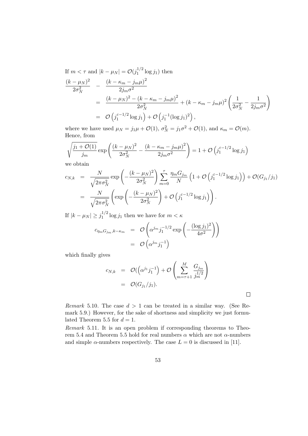If  $m < \tau$  and  $|k - \mu_N| = \mathcal{O}(j_1^{1/2})$  $j_1^{1/2}$  log  $j_1$ ) then

$$
\frac{(k-\mu_N)^2}{2\sigma_N^2} - \frac{(k-\kappa_m - j_m\mu)^2}{2j_m\sigma^2} \n= \frac{(k-\mu_N)^2 - (k-\kappa_m - j_m\mu)^2}{2\sigma_N^2} + (k-\kappa_m - j_m\mu)^2 \left(\frac{1}{2\sigma_N^2} - \frac{1}{2j_m\sigma^2}\right) \n= \mathcal{O}\left(j_1^{\varepsilon-1/2} \log j_1\right) + \mathcal{O}\left(j_1^{-1}(\log j_1)^2\right),
$$

where we have used  $\mu_N = j_1 \mu + \mathcal{O}(1)$ ,  $\sigma_N^2 = j_1 \sigma^2 + \mathcal{O}(1)$ , and  $\kappa_m = \mathcal{O}(m)$ . Hence, from

$$
\sqrt{\frac{j_1 + \mathcal{O}(1)}{j_m}} \exp\left(\frac{(k - \mu_N)^2}{2\sigma_N^2} - \frac{(k - \kappa_m - j_m \mu)^2}{2j_m \sigma^2}\right) = 1 + \mathcal{O}\left(j_1^{\varepsilon - 1/2} \log j_1\right)
$$

we obtain

$$
c_{N,k} = \frac{N}{\sqrt{2\pi\sigma_N^2}} \exp\left(-\frac{(k-\mu_N)^2}{2\sigma_N^2}\right) \sum_{m=0}^{\tau} \frac{\eta_m G_{j_m}}{N} \left(1 + \mathcal{O}\left(j_1^{\varepsilon-1/2} \log j_1\right)\right) + \mathcal{O}(G_{j_1}/j_1)
$$
  
= 
$$
\frac{N}{\sqrt{2\pi\sigma_N^2}} \left( \exp\left(-\frac{(k-\mu_N)^2}{2\sigma_N^2}\right) + \mathcal{O}\left(j_1^{\varepsilon-1/2} \log j_1\right) \right).
$$

If  $|k - \mu_N| \ge j_1^{1/2}$  $j_1^{1/2}$  log  $j_1$  then we have for  $m < \kappa$ 

$$
c_{\eta_m G_{j_m}, k - \kappa_m} = \mathcal{O}\left(\alpha^{j_m} j_1^{-1/2} \exp\left(-\frac{(\log j_1)^2}{4\sigma^2}\right)\right)
$$

$$
= \mathcal{O}\left(\alpha^{j_m} j_1^{-1}\right)
$$

which finally gives

$$
c_{N,k} = \mathcal{O}((\alpha^{j_1}j_1^{-1}) + \mathcal{O}\left(\sum_{m=\tau+1}^{M}\frac{G_{j_m}}{j_m^{1/2}}\right)
$$
  
=  $\mathcal{O}(G_{j_1}/j_1).$ 

 $\Box$ 

Remark 5.10. The case  $d > 1$  can be treated in a similar way. (See Remark 5.9.) However, for the sake of shortness and simplicity we just formulated Theorem 5.5 for  $d = 1$ .

Remark 5.11. It is an open problem if corresponding theorems to Theorem 5.4 and Theorem 5.5 hold for real numbers  $\alpha$  which are not  $\alpha$ -numbers and simple  $\alpha$ -numbers respectively. The case  $L = 0$  is discussed in [11].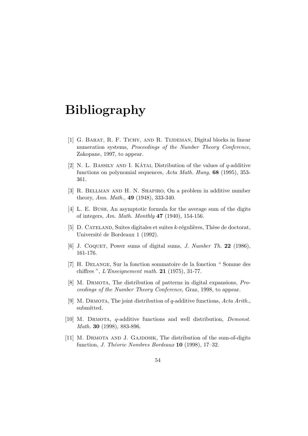## Bibliography

- [1] G. BARAT, R. F. TICHY, AND R. TIJDEMAN, Digital blocks in linear numeration systems, Proceedings of the Number Theory Conference, Zakopane, 1997, to appear.
- [2] N. L. BASSILY AND I. KÁTAI, Distribution of the values of  $q$ -additive functions on polynomial sequences, Acta Math. Hung. 68 (1995), 353-361.
- [3] R. BELLMAN AND H. N. SHAPIRO, On a problem in additive number theory, Ann. Math., 49 (1948), 333-340.
- [4] L. E. Bush, An asymptotic formula for the average sum of the digits of integers, Am. Math. Monthly 47 (1940), 154-156.
- [5]  $\Box$  CATELAND, Suites digitales et suites k-régulières, Thèse de doctorat, Université de Bordeaux 1 (1992).
- [6] J. COQUET, Power sums of digital sums, *J. Number Th.* 22 (1986), 161-176.
- [7] H. Delange, Sur la fonction sommatoire de la fonction " Somme des chiffres ",  $L'Enseignement math. 21 (1975), 31-77.$
- [8] M. Drmota, The distribution of patterns in digital expansions, Proceedings of the Number Theory Conference, Graz, 1998, to appear.
- [9] M. DRMOTA, The joint distribution of q-additive functions,  $Acta$  Arith. submitted.
- [10] M. DRMOTA, q-additive functions and well distribution, *Demonst*. Math. **30** (1998), 883-896.
- [11] M. DRMOTA AND J. GAJDOSIK, The distribution of the sum-of-digits function, *J. Théorie Nombres Bordeaux*  $10$  (1998), 17–32.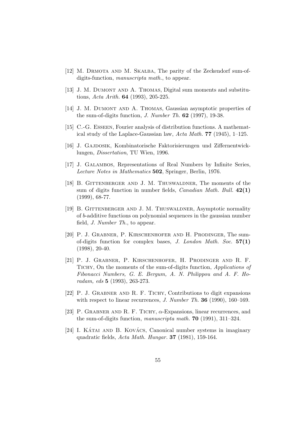- $[12]$  M. DRMOTA AND M. SKALBA, The parity of the Zeckendorf sum-ofdigits-function, *manuscripta math.*, to appear.
- [13] J. M. Dumont and A. Thomas, Digital sum moments and substitutions, Acta Arith. **64** (1993), 205-225.
- [14] J. M. DUMONT AND A. THOMAS, Gaussian asymptotic properties of the sum-of-digits function,  $J.$  Number Th.  $62$  (1997), 19-38.
- [15] C.-G. Esseen, Fourier analysis of distribution functions. A mathematical study of the Laplace-Gaussian law, Acta Math. 77 (1945), 1–125.
- [16] J. GAJDOSIK, Kombinatorische Faktorisierungen und Ziffernentwicklungen, Dissertation, TU Wien, 1996.
- [17] J. GALAMBOS, Representations of Real Numbers by Infinite Series, Lecture Notes in Mathematics 502, Springer, Berlin, 1976.
- [18] B. Gittenberger and J. M. Thuswaldner, The moments of the sum of digits function in number fields, *Canadian Math. Bull.*  $42(1)$ (1999), 68-77.
- [19] B. Gittenberger and J. M. Thuswaldner, Asymptotic normality of b-additive functions on polynomial sequences in the gaussian number field, J. Number Th., to appear.
- [20] P. J. Grabner, P. Kirschenhofer and H. Prodinger, The sumof-digits function for complex bases,  $J.$  London Math. Soc.  $57(1)$ (1998), 20-40.
- [21] P. J. Grabner, P. Kirschenhofer, H. Prodinger and R. F. TICHY, On the moments of the sum-of-digits function, *Applications of* Fibonacci Numbers, G. E. Bergum, A. N. Philippou and A. F. Horadam, eds 5 (1993), 263-273.
- [22] P. J. GRABNER AND R. F. TICHY, Contributions to digit expansions with respect to linear recurrences, J. Number Th.  $36$  (1990), 160–169.
- [23] P. GRABNER AND R. F. TICHY,  $\alpha$ -Expansions, linear recurrences, and the sum-of-digits function, *manuscripta math.* **70** (1991), 311–324.
- $[24]$  I. KATAI AND B. KOVACS, Canonical number systems in imaginary quadratic fields, Acta Math. Hungar. 37 (1981), 159-164.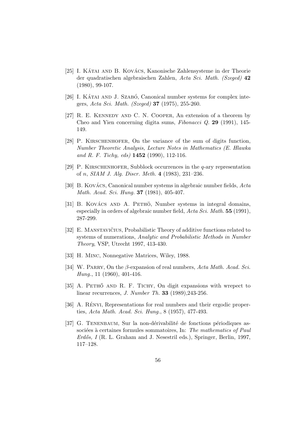- [25] I. KÁTAI AND B. KOVÁCS, Kanonische Zahlensysteme in der Theorie der quadratischen algebraischen Zahlen, Acta Sci. Math. (Szeged) 42 (1980), 99-107.
- [26] I. KÁTAI AND J. SZABÓ, Canonical number systems for complex integers, Acta Sci. Math. (Szeged) 37 (1975), 255-260.
- [27] R. E. Kennedy and C. N. Cooper, An extension of a theorem by Cheo and Yien concerning digita sums, Fibonacci Q. 29 (1991), 145- 149.
- [28] P. KIRSCHENHOFER, On the variance of the sum of digits function, Number Theoretic Analysis, Lecture Notes in Mathematics (E. Hlawka and R. F. Tichy, eds)  $1452$  (1990), 112-116.
- [29] P. KIRSCHENHOFER, Subblock occurrences in the  $q$ -ary representation of n, SIAM J. Alg. Discr. Meth. 4 (1983), 231–236.
- [30] B. Kovács, Canonical number systems in algebraic number fields,  $Acta$ Math. Acad. Sci. Hung. **37** (1981), 405-407.
- [31] B. KOVÁCS AND A. PETHÖ, Number systems in integral domains, especially in orders of algebraic number field,  $Acta Sci. Math. 55 (1991),$ 287-299.
- [32] E. MANSTAVIČIUS, Probabilistic Theory of additive functions related to systems of numerations, Analytic and Probabilistic Methods in Number Theory, VSP, Utrecht 1997, 413-430.
- [33] H. Minc, Nonnegative Matrices, Wiley, 1988.
- [34] W. PARRY, On the  $\beta$ -expansion of real numbers, Acta Math. Acad. Sci. Hung., 11 (1960), 401-416.
- [35] A. PETHŐ AND R. F. TICHY, On digit expansions with wrepect to linear recurrences, J. Number Th. 33 (1989),243-256.
- [36] A. RENYI, Representations for real numbers and their ergodic properties, Acta Math. Acad. Sci. Hung., 8 (1957), 477-493.
- [37] G. TENENBAUM, Sur la non-dérivabilité de fonctions périodiques associées à certaines formules sommatoires, In: The mathematics of Paul Erdős, I (R. L. Graham and J. Nesestril eds.), Springer, Berlin, 1997, 117–128.